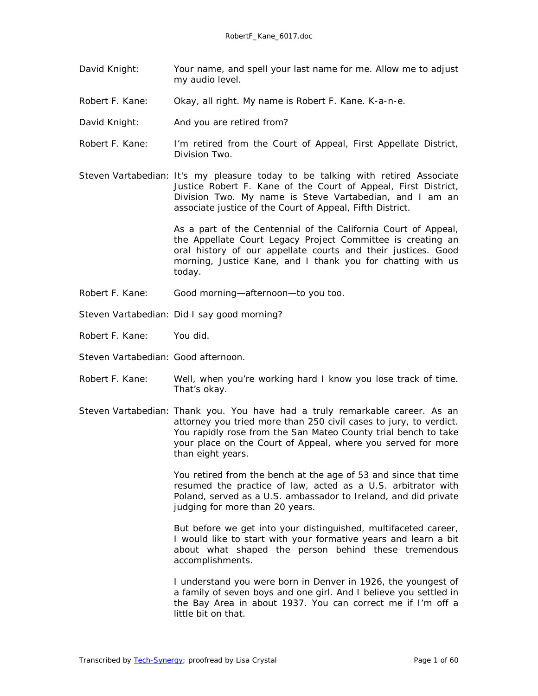- David Knight: Your name, and spell your last name for me. Allow me to adjust my audio level.
- Robert F. Kane: Okay, all right. My name is Robert F. Kane. K-a-n-e.
- David Knight: And you are retired from?
- Robert F. Kane: I'm retired from the Court of Appeal, First Appellate District, Division Two.
- Steven Vartabedian: It's my pleasure today to be talking with retired Associate Justice Robert F. Kane of the Court of Appeal, First District, Division Two. My name is Steve Vartabedian, and I am an associate justice of the Court of Appeal, Fifth District.

As a part of the Centennial of the California Court of Appeal, the Appellate Court Legacy Project Committee is creating an oral history of our appellate courts and their justices. Good morning, Justice Kane, and I thank you for chatting with us today.

- Robert F. Kane: Good morning—afternoon—to you too.
- Steven Vartabedian: Did I say good morning?
- Robert F. Kane: You did.
- Steven Vartabedian: Good afternoon.
- Robert F. Kane: Well, when you're working hard I know you lose track of time. That's okay.
- Steven Vartabedian: Thank you. You have had a truly remarkable career. As an attorney you tried more than 250 civil cases to jury, to verdict. You rapidly rose from the San Mateo County trial bench to take your place on the Court of Appeal, where you served for more than eight years.

You retired from the bench at the age of 53 and since that time resumed the practice of law, acted as a U.S. arbitrator with Poland, served as a U.S. ambassador to Ireland, and did private judging for more than 20 years.

But before we get into your distinguished, multifaceted career, I would like to start with your formative years and learn a bit about what shaped the person behind these tremendous accomplishments.

I understand you were born in Denver in 1926, the youngest of a family of seven boys and one girl. And I believe you settled in the Bay Area in about 1937. You can correct me if I'm off a little bit on that.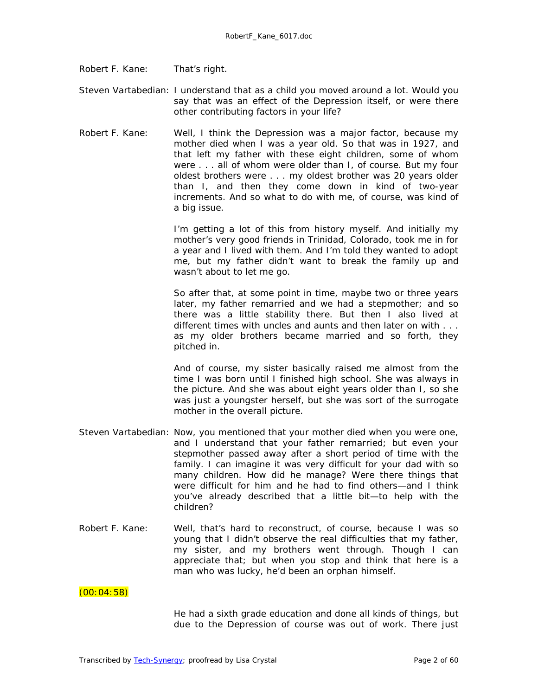- Robert F. Kane: That's right.
- Steven Vartabedian: I understand that as a child you moved around a lot. Would you say that was an effect of the Depression itself, or were there other contributing factors in your life?
- Robert F. Kane: Well, I think the Depression was a major factor, because my mother died when I was a year old. So that was in 1927, and that left my father with these eight children, some of whom were . . . all of whom were older than I, of course. But my four oldest brothers were . . . my oldest brother was 20 years older than I, and then they come down in kind of two-year increments. And so what to do with me, of course, was kind of a big issue.

I'm getting a lot of this from history myself. And initially my mother's very good friends in Trinidad, Colorado, took me in for a year and I lived with them. And I'm told they wanted to adopt me, but my father didn't want to break the family up and wasn't about to let me go.

So after that, at some point in time, maybe two or three years later, my father remarried and we had a stepmother; and so there was a little stability there. But then I also lived at different times with uncles and aunts and then later on with . . . as my older brothers became married and so forth, they pitched in.

And of course, my sister basically raised me almost from the time I was born until I finished high school. She was always in the picture. And she was about eight years older than I, so she was just a youngster herself, but she was sort of the surrogate mother in the overall picture.

- Steven Vartabedian: Now, you mentioned that your mother died when you were one, and I understand that your father remarried; but even your stepmother passed away after a short period of time with the family. I can imagine it was very difficult for your dad with so many children. How did he manage? Were there things that were difficult for him and he had to find others—and I think you've already described that a little bit—to help with the children?
- Robert F. Kane: Well, that's hard to reconstruct, of course, because I was so young that I didn't observe the real difficulties that my father, my sister, and my brothers went through. Though I can appreciate that; but when you stop and think that here is a man who was lucky, he'd been an orphan himself.

# (00:04:58)

He had a sixth grade education and done all kinds of things, but due to the Depression of course was out of work. There just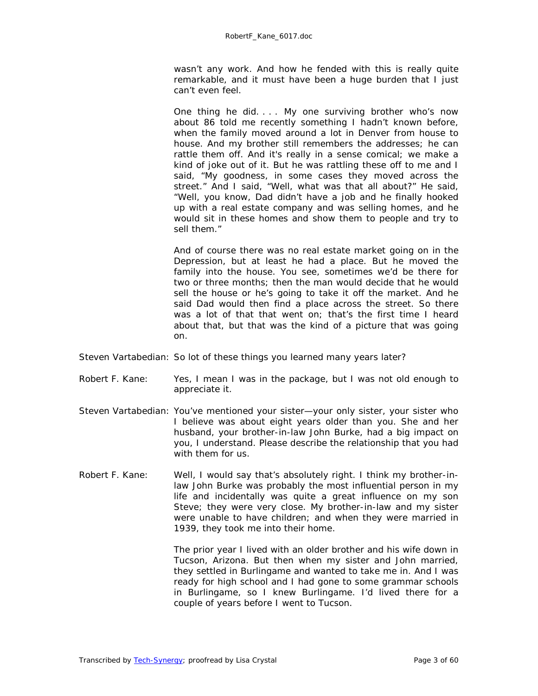wasn't any work. And how he fended with this is really quite remarkable, and it must have been a huge burden that I just can't even feel.

One thing he did. . . . My one surviving brother who's now about 86 told me recently something I hadn't known before, when the family moved around a lot in Denver from house to house. And my brother still remembers the addresses; he can rattle them off. And it's really in a sense comical; we make a kind of joke out of it. But he was rattling these off to me and I said, "My goodness, in some cases they moved across the street." And I said, "Well, what was that all about?" He said, "Well, you know, Dad didn't have a job and he finally hooked up with a real estate company and was selling homes, and he would sit in these homes and show them to people and try to sell them."

And of course there was no real estate market going on in the Depression, but at least he had a place. But he moved the family into the house. You see, sometimes we'd be there for two or three months; then the man would decide that he would sell the house or he's going to take it off the market. And he said Dad would then find a place across the street. So there was a lot of that that went on; that's the first time I heard about that, but that was the kind of a picture that was going on.

- Steven Vartabedian: So lot of these things you learned many years later?
- Robert F. Kane: Yes, I mean I was in the package, but I was not old enough to appreciate it.
- Steven Vartabedian: You've mentioned your sister—your only sister, your sister who I believe was about eight years older than you. She and her husband, your brother-in-law John Burke, had a big impact on you, I understand. Please describe the relationship that you had with them for us.
- Robert F. Kane: Well, I would say that's absolutely right. I think my brother-inlaw John Burke was probably the most influential person in my life and incidentally was quite a great influence on my son Steve; they were very close. My brother-in-law and my sister were unable to have children; and when they were married in 1939, they took me into their home.

The prior year I lived with an older brother and his wife down in Tucson, Arizona. But then when my sister and John married, they settled in Burlingame and wanted to take me in. And I was ready for high school and I had gone to some grammar schools in Burlingame, so I knew Burlingame. I'd lived there for a couple of years before I went to Tucson.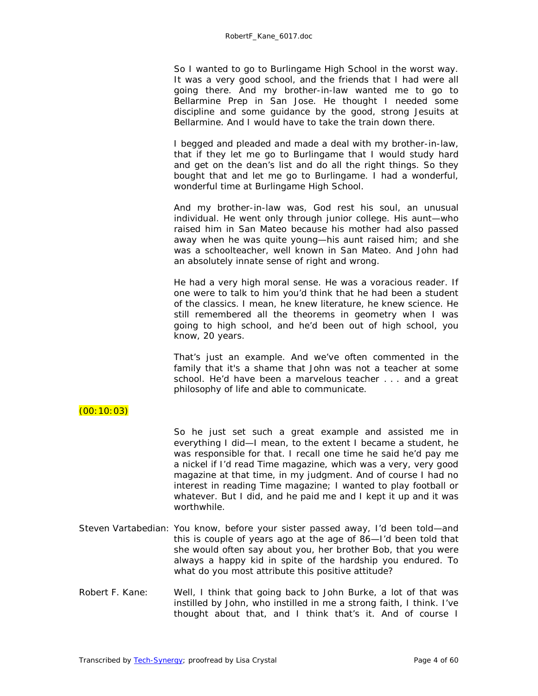So I wanted to go to Burlingame High School in the worst way. It was a very good school, and the friends that I had were all going there. And my brother-in-law wanted me to go to Bellarmine Prep in San Jose. He thought I needed some discipline and some guidance by the good, strong Jesuits at Bellarmine. And I would have to take the train down there.

I begged and pleaded and made a deal with my brother-in-law, that if they let me go to Burlingame that I would study hard and get on the dean's list and do all the right things. So they bought that and let me go to Burlingame. I had a wonderful, wonderful time at Burlingame High School.

And my brother-in-law was, God rest his soul, an unusual individual. He went only through junior college. His aunt—who raised him in San Mateo because his mother had also passed away when he was quite young—his aunt raised him; and she was a schoolteacher, well known in San Mateo. And John had an absolutely innate sense of right and wrong.

He had a very high moral sense. He was a voracious reader. If one were to talk to him you'd think that he had been a student of the classics. I mean, he knew literature, he knew science. He still remembered all the theorems in geometry when I was going to high school, and he'd been out of high school, you know, 20 years.

That's just an example. And we've often commented in the family that it's a shame that John was not a teacher at some school. He'd have been a marvelous teacher . . . and a great philosophy of life and able to communicate.

# $(00:10:03)$

So he just set such a great example and assisted me in everything I did—I mean, to the extent I became a student, he was responsible for that. I recall one time he said he'd pay me a nickel if I'd read *Time* magazine, which was a very, very good magazine at that time, in my judgment. And of course I had no interest in reading *Time* magazine; I wanted to play football or whatever. But I did, and he paid me and I kept it up and it was worthwhile.

- Steven Vartabedian: You know, before your sister passed away, I'd been told—and this is couple of years ago at the age of 86—I'd been told that she would often say about you, her brother Bob, that you were always a happy kid in spite of the hardship you endured. To what do you most attribute this positive attitude?
- Robert F. Kane: Well, I think that going back to John Burke, a lot of that was instilled by John, who instilled in me a strong faith, I think. I've thought about that, and I think that's it. And of course I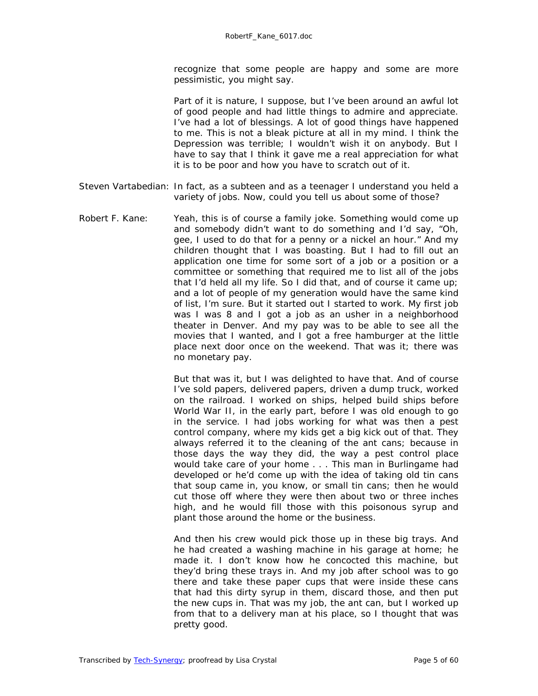recognize that some people are happy and some are more pessimistic, you might say.

Part of it is nature, I suppose, but I've been around an awful lot of good people and had little things to admire and appreciate. I've had a lot of blessings. A lot of good things have happened to me. This is not a bleak picture at all in my mind. I think the Depression was terrible; I wouldn't wish it on anybody. But I have to say that I think it gave me a real appreciation for what it is to be poor and how you have to scratch out of it.

- Steven Vartabedian: In fact, as a subteen and as a teenager I understand you held a variety of jobs. Now, could you tell us about some of those?
- Robert F. Kane: Yeah, this is of course a family joke. Something would come up and somebody didn't want to do something and I'd say, "Oh, gee, I used to do that for a penny or a nickel an hour." And my children thought that I was boasting. But I had to fill out an application one time for some sort of a job or a position or a committee or something that required me to list all of the jobs that I'd held all my life. So I did that, and of course it came up; and a lot of people of my generation would have the same kind of list, I'm sure. But it started out I started to work. My first job was I was 8 and I got a job as an usher in a neighborhood theater in Denver. And my pay was to be able to see all the movies that I wanted, and I got a free hamburger at the little place next door once on the weekend. That was it; there was no monetary pay.

But that was it, but I was delighted to have that. And of course I've sold papers, delivered papers, driven a dump truck, worked on the railroad. I worked on ships, helped build ships before World War II, in the early part, before I was old enough to go in the service. I had jobs working for what was then a pest control company, where my kids get a big kick out of that. They always referred it to the cleaning of the ant cans; because in those days the way they did, the way a pest control place would take care of your home . . . This man in Burlingame had developed or he'd come up with the idea of taking old tin cans that soup came in, you know, or small tin cans; then he would cut those off where they were then about two or three inches high, and he would fill those with this poisonous syrup and plant those around the home or the business.

And then his crew would pick those up in these big trays. And he had created a washing machine in his garage at home; he made it. I don't know how he concocted this machine, but they'd bring these trays in. And my job after school was to go there and take these paper cups that were inside these cans that had this dirty syrup in them, discard those, and then put the new cups in. That was my job, the ant can, but I worked up from that to a delivery man at his place, so I thought that was pretty good.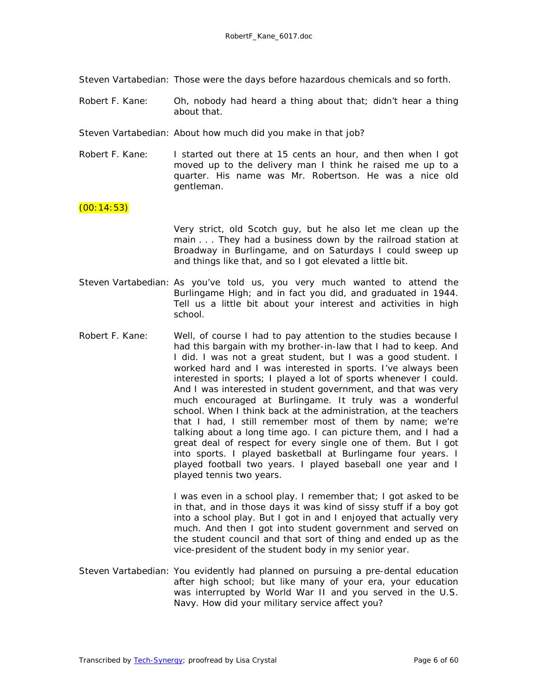Steven Vartabedian: Those were the days before hazardous chemicals and so forth.

- Robert F. Kane: Oh, nobody had heard a thing about that; didn't hear a thing about that.
- Steven Vartabedian: About how much did you make in that job?
- Robert F. Kane: I started out there at 15 cents an hour, and then when I got moved up to the delivery man I think he raised me up to a quarter. His name was Mr. Robertson. He was a nice old gentleman.

#### $(00:14:53)$

Very strict, old Scotch guy, but he also let me clean up the main . . . They had a business down by the railroad station at Broadway in Burlingame, and on Saturdays I could sweep up and things like that, and so I got elevated a little bit.

- Steven Vartabedian: As you've told us, you very much wanted to attend the Burlingame High; and in fact you did, and graduated in 1944. Tell us a little bit about your interest and activities in high school.
- Robert F. Kane: Well, of course I had to pay attention to the studies because I had this bargain with my brother-in-law that I had to keep. And I did. I was not a great student, but I was a good student. I worked hard and I was interested in sports. I've always been interested in sports; I played a lot of sports whenever I could. And I was interested in student government, and that was very much encouraged at Burlingame. It truly was a wonderful school. When I think back at the administration, at the teachers that I had, I still remember most of them by name; we're talking about a long time ago. I can picture them, and I had a great deal of respect for every single one of them. But I got into sports. I played basketball at Burlingame four years. I played football two years. I played baseball one year and I played tennis two years.

I was even in a school play. I remember that; I got asked to be in that, and in those days it was kind of sissy stuff if a boy got into a school play. But I got in and I enjoyed that actually very much. And then I got into student government and served on the student council and that sort of thing and ended up as the vice-president of the student body in my senior year.

Steven Vartabedian: You evidently had planned on pursuing a pre-dental education after high school; but like many of your era, your education was interrupted by World War II and you served in the U.S. Navy. How did your military service affect you?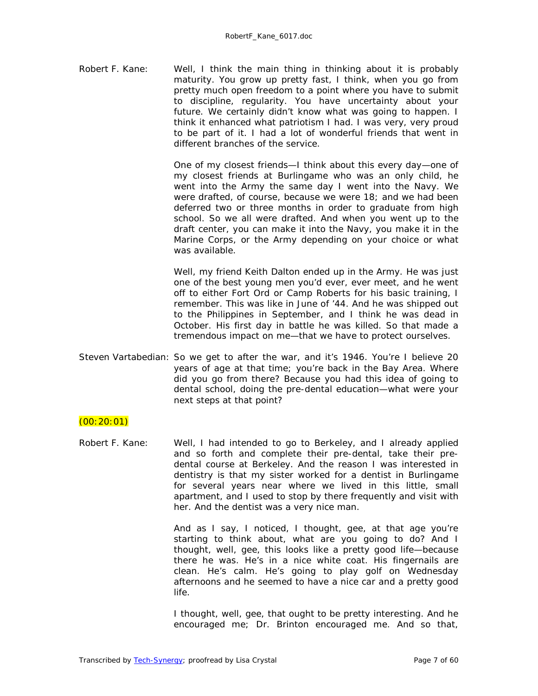Robert F. Kane: Well, I think the main thing in thinking about it is probably maturity. You grow up pretty fast, I think, when you go from pretty much open freedom to a point where you have to submit to discipline, regularity. You have uncertainty about your future. We certainly didn't know what was going to happen. I think it enhanced what patriotism I had. I was very, very proud to be part of it. I had a lot of wonderful friends that went in different branches of the service.

> One of my closest friends—I think about this every day—one of my closest friends at Burlingame who was an only child, he went into the Army the same day I went into the Navy. We were drafted, of course, because we were 18; and we had been deferred two or three months in order to graduate from high school. So we all were drafted. And when you went up to the draft center, you can make it into the Navy, you make it in the Marine Corps, or the Army depending on your choice or what was available.

> Well, my friend Keith Dalton ended up in the Army. He was just one of the best young men you'd ever, ever meet, and he went off to either Fort Ord or Camp Roberts for his basic training, I remember. This was like in June of '44. And he was shipped out to the Philippines in September, and I think he was dead in October. His first day in battle he was killed. So that made a tremendous impact on me—that we have to protect ourselves.

Steven Vartabedian: So we get to after the war, and it's 1946. You're I believe 20 years of age at that time; you're back in the Bay Area. Where did you go from there? Because you had this idea of going to dental school, doing the pre-dental education—what were your next steps at that point?

# $(00:20:01)$

Robert F. Kane: Well, I had intended to go to Berkeley, and I already applied and so forth and complete their pre-dental, take their predental course at Berkeley. And the reason I was interested in dentistry is that my sister worked for a dentist in Burlingame for several years near where we lived in this little, small apartment, and I used to stop by there frequently and visit with her. And the dentist was a very nice man.

> And as I say, I noticed, I thought, gee, at that age you're starting to think about, what are you going to do? And I thought, well, gee, this looks like a pretty good life—because there he was. He's in a nice white coat. His fingernails are clean. He's calm. He's going to play golf on Wednesday afternoons and he seemed to have a nice car and a pretty good life.

> I thought, well, gee, that ought to be pretty interesting. And he encouraged me; Dr. Brinton encouraged me. And so that,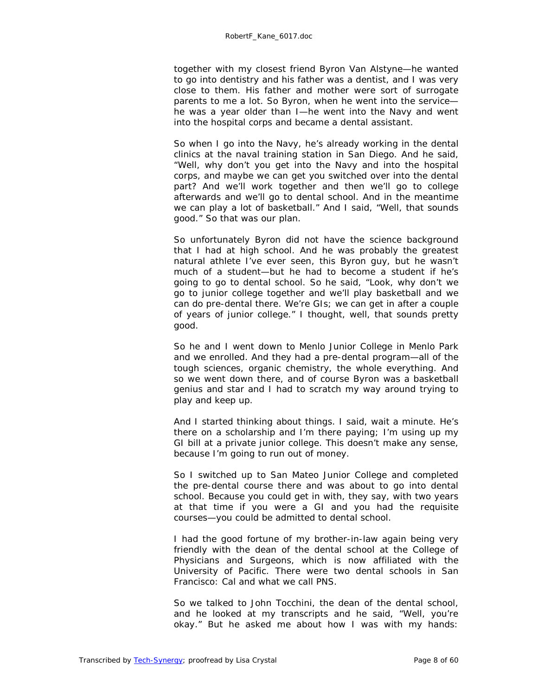together with my closest friend Byron Van Alstyne—he wanted to go into dentistry and his father was a dentist, and I was very close to them. His father and mother were sort of surrogate parents to me a lot. So Byron, when he went into the service he was a year older than I—he went into the Navy and went into the hospital corps and became a dental assistant.

So when I go into the Navy, he's already working in the dental clinics at the naval training station in San Diego. And he said, "Well, why don't you get into the Navy and into the hospital corps, and maybe we can get you switched over into the dental part? And we'll work together and then we'll go to college afterwards and we'll go to dental school. And in the meantime we can play a lot of basketball." And I said, "Well, that sounds good." So that was our plan.

So unfortunately Byron did not have the science background that I had at high school. And he was probably the greatest natural athlete I've ever seen, this Byron guy, but he wasn't much of a student—but he had to become a student if he's going to go to dental school. So he said, "Look, why don't we go to junior college together and we'll play basketball and we can do pre-dental there. We're GIs; we can get in after a couple of years of junior college." I thought, well, that sounds pretty good.

So he and I went down to Menlo Junior College in Menlo Park and we enrolled. And they had a pre-dental program—all of the tough sciences, organic chemistry, the whole everything. And so we went down there, and of course Byron was a basketball genius and star and I had to scratch my way around trying to play and keep up.

And I started thinking about things. I said, wait a minute. He's there on a scholarship and I'm there paying; I'm using up my GI bill at a private junior college. This doesn't make any sense, because I'm going to run out of money.

So I switched up to San Mateo Junior College and completed the pre-dental course there and was about to go into dental school. Because you could get in with, they say, with two years at that time if you were a GI and you had the requisite courses—you could be admitted to dental school.

I had the good fortune of my brother-in-law again being very friendly with the dean of the dental school at the College of Physicians and Surgeons, which is now affiliated with the University of Pacific. There were two dental schools in San Francisco: Cal and what we call PNS.

So we talked to John Tocchini, the dean of the dental school, and he looked at my transcripts and he said, "Well, you're okay." But he asked me about how I was with my hands: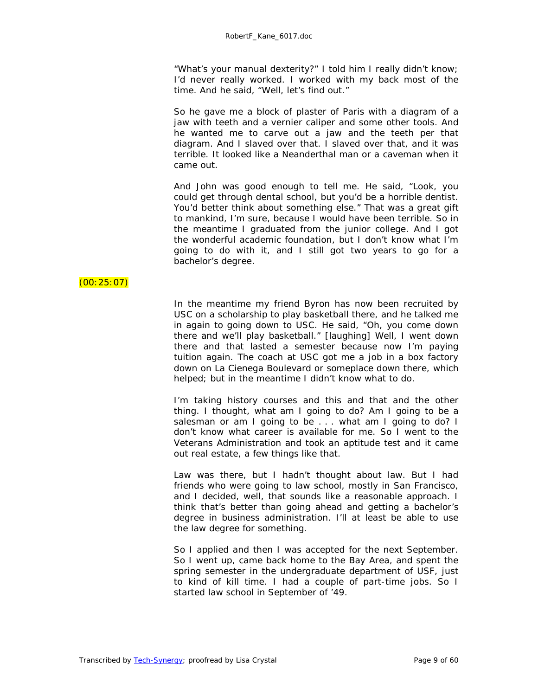"What's your manual dexterity?" I told him I really didn't know; I'd never really worked. I worked with my back most of the time. And he said, "Well, let's find out."

So he gave me a block of plaster of Paris with a diagram of a jaw with teeth and a vernier caliper and some other tools. And he wanted me to carve out a jaw and the teeth per that diagram. And I slaved over that. I slaved over that, and it was terrible. It looked like a Neanderthal man or a caveman when it came out.

And John was good enough to tell me. He said, "Look, you could get through dental school, but you'd be a horrible dentist. You'd better think about something else." That was a great gift to mankind, I'm sure, because I would have been terrible. So in the meantime I graduated from the junior college. And I got the wonderful academic foundation, but I don't know what I'm going to do with it, and I still got two years to go for a bachelor's degree.

# $(00:25:07)$

In the meantime my friend Byron has now been recruited by USC on a scholarship to play basketball there, and he talked me in again to going down to USC. He said, "Oh, you come down there and we'll play basketball." *[laughing]* Well, I went down there and that lasted a semester because now I'm paying tuition again. The coach at USC got me a job in a box factory down on La Cienega Boulevard or someplace down there, which helped; but in the meantime I didn't know what to do.

I'm taking history courses and this and that and the other thing. I thought, what am I going to do? Am I going to be a salesman or am I going to be . . . what am I going to do? I don't know what career is available for me. So I went to the Veterans Administration and took an aptitude test and it came out real estate, a few things like that.

Law was there, but I hadn't thought about law. But I had friends who were going to law school, mostly in San Francisco, and I decided, well, that sounds like a reasonable approach. I think that's better than going ahead and getting a bachelor's degree in business administration. I'll at least be able to use the law degree for something.

So I applied and then I was accepted for the next September. So I went up, came back home to the Bay Area, and spent the spring semester in the undergraduate department of USF, just to kind of kill time. I had a couple of part-time jobs. So I started law school in September of '49.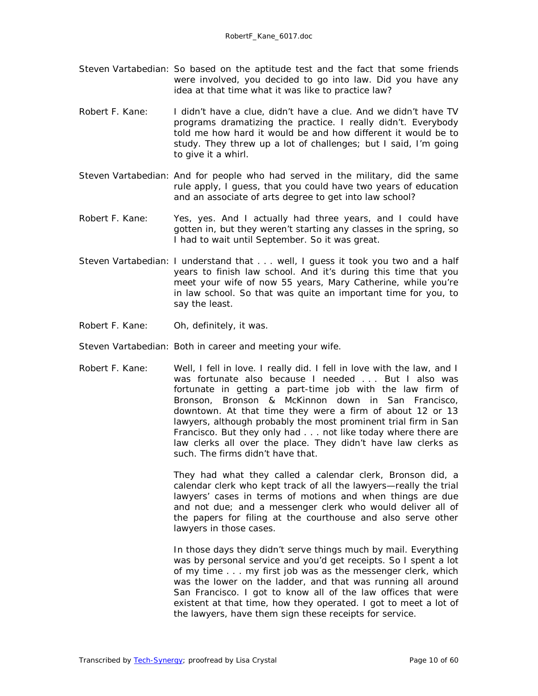- Steven Vartabedian: So based on the aptitude test and the fact that some friends were involved, you decided to go into law. Did you have any idea at that time what it was like to practice law?
- Robert F. Kane: I didn't have a clue, didn't have a clue. And we didn't have TV programs dramatizing the practice. I really didn't. Everybody told me how hard it would be and how different it would be to study. They threw up a lot of challenges; but I said, I'm going to give it a whirl.
- Steven Vartabedian: And for people who had served in the military, did the same rule apply, I guess, that you could have two years of education and an associate of arts degree to get into law school?
- Robert F. Kane: Yes, yes. And I actually had three years, and I could have gotten in, but they weren't starting any classes in the spring, so I had to wait until September. So it was great.
- Steven Vartabedian: I understand that . . . well, I guess it took you two and a half years to finish law school. And it's during this time that you meet your wife of now 55 years, Mary Catherine, while you're in law school. So that was quite an important time for you, to say the least.
- Robert F. Kane: Oh, definitely, it was.
- Steven Vartabedian: Both in career and meeting your wife.
- Robert F. Kane: Well, I fell in love. I really did. I fell in love with the law, and I was fortunate also because I needed ... But I also was fortunate in getting a part-time job with the law firm of Bronson, Bronson & McKinnon down in San Francisco, downtown. At that time they were a firm of about 12 or 13 lawyers, although probably the most prominent trial firm in San Francisco. But they only had . . . not like today where there are law clerks all over the place. They didn't have law clerks as such. The firms didn't have that.

They had what they called a calendar clerk, Bronson did, a calendar clerk who kept track of all the lawyers—really the trial lawyers' cases in terms of motions and when things are due and not due; and a messenger clerk who would deliver all of the papers for filing at the courthouse and also serve other lawyers in those cases.

In those days they didn't serve things much by mail. Everything was by personal service and you'd get receipts. So I spent a lot of my time . . . my first job was as the messenger clerk, which was the lower on the ladder, and that was running all around San Francisco. I got to know all of the law offices that were existent at that time, how they operated. I got to meet a lot of the lawyers, have them sign these receipts for service.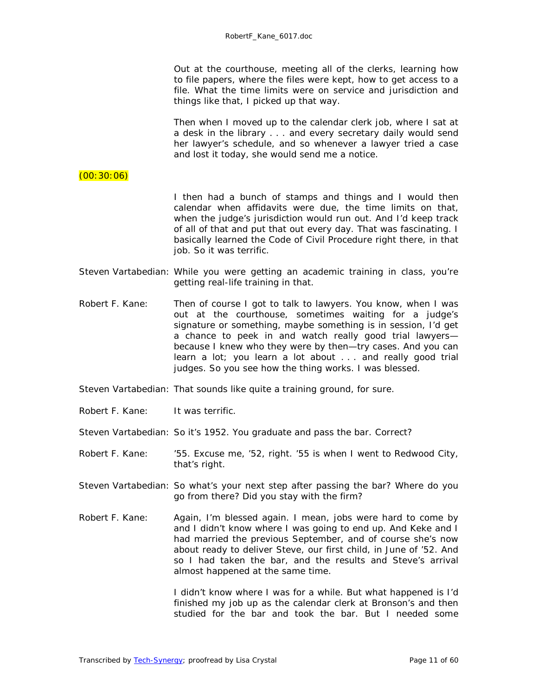Out at the courthouse, meeting all of the clerks, learning how to file papers, where the files were kept, how to get access to a file. What the time limits were on service and jurisdiction and things like that, I picked up that way.

Then when I moved up to the calendar clerk job, where I sat at a desk in the library . . . and every secretary daily would send her lawyer's schedule, and so whenever a lawyer tried a case and lost it today, she would send me a notice.

#### $(00:30:06)$

I then had a bunch of stamps and things and I would then calendar when affidavits were due, the time limits on that, when the judge's jurisdiction would run out. And I'd keep track of all of that and put that out every day. That was fascinating. I basically learned the Code of Civil Procedure right there, in that job. So it was terrific.

- Steven Vartabedian: While you were getting an academic training in class, you're getting real-life training in that.
- Robert F. Kane: Then of course I got to talk to lawyers. You know, when I was out at the courthouse, sometimes waiting for a judge's signature or something, maybe something is in session, I'd get a chance to peek in and watch really good trial lawyers because I knew who they were by then—try cases. And you can learn a lot; you learn a lot about . . . and really good trial judges. So you see how the thing works. I was blessed.
- Steven Vartabedian: That sounds like quite a training ground, for sure.
- Robert F. Kane: It was terrific.
- Steven Vartabedian: So it's 1952. You graduate and pass the bar. Correct?
- Robert F. Kane: '55. Excuse me, '52, right. '55 is when I went to Redwood City, that's right.
- Steven Vartabedian: So what's your next step after passing the bar? Where do you go from there? Did you stay with the firm?
- Robert F. Kane: Again, I'm blessed again. I mean, jobs were hard to come by and I didn't know where I was going to end up. And Keke and I had married the previous September, and of course she's now about ready to deliver Steve, our first child, in June of '52. And so I had taken the bar, and the results and Steve's arrival almost happened at the same time.

I didn't know where I was for a while. But what happened is I'd finished my job up as the calendar clerk at Bronson's and then studied for the bar and took the bar. But I needed some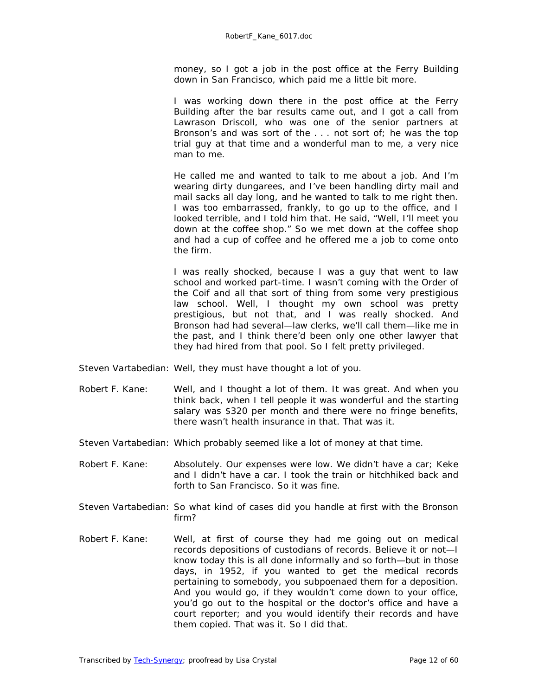money, so I got a job in the post office at the Ferry Building down in San Francisco, which paid me a little bit more.

I was working down there in the post office at the Ferry Building after the bar results came out, and I got a call from Lawrason Driscoll, who was one of the senior partners at Bronson's and was sort of the . . . not sort of; he was the top trial guy at that time and a wonderful man to me, a very nice man to me.

He called me and wanted to talk to me about a job. And I'm wearing dirty dungarees, and I've been handling dirty mail and mail sacks all day long, and he wanted to talk to me right then. I was too embarrassed, frankly, to go up to the office, and I looked terrible, and I told him that. He said, "Well, I'll meet you down at the coffee shop." So we met down at the coffee shop and had a cup of coffee and he offered me a job to come onto the firm.

I was really shocked, because I was a guy that went to law school and worked part-time. I wasn't coming with the Order of the Coif and all that sort of thing from some very prestigious law school. Well, I thought my own school was pretty prestigious, but not *that,* and I was really shocked. And Bronson had had several—law clerks, we'll call them—like me in the past, and I think there'd been only one other lawyer that they had hired from that pool. So I felt pretty privileged.

- Steven Vartabedian: Well, they must have thought a lot of you.
- Robert F. Kane: Well, and I thought a lot of them. It was great. And when you think back, when I tell people it was wonderful and the starting salary was \$320 per month and there were no fringe benefits, there wasn't health insurance in that. That was it.
- Steven Vartabedian: Which probably seemed like a lot of money at that time.
- Robert F. Kane: Absolutely. Our expenses were low. We didn't have a car; Keke and I didn't have a car. I took the train or hitchhiked back and forth to San Francisco. So it was fine.
- Steven Vartabedian: So what kind of cases did you handle at first with the Bronson firm?
- Robert F. Kane: Well, at first of course they had me going out on medical records depositions of custodians of records. Believe it or not—I know today this is all done informally and so forth—but in those days, in 1952, if you wanted to get the medical records pertaining to somebody, you subpoenaed them for a deposition. And you would go, if they wouldn't come down to your office, you'd go out to the hospital or the doctor's office and have a court reporter; and you would identify their records and have them copied. That was it. So I did that.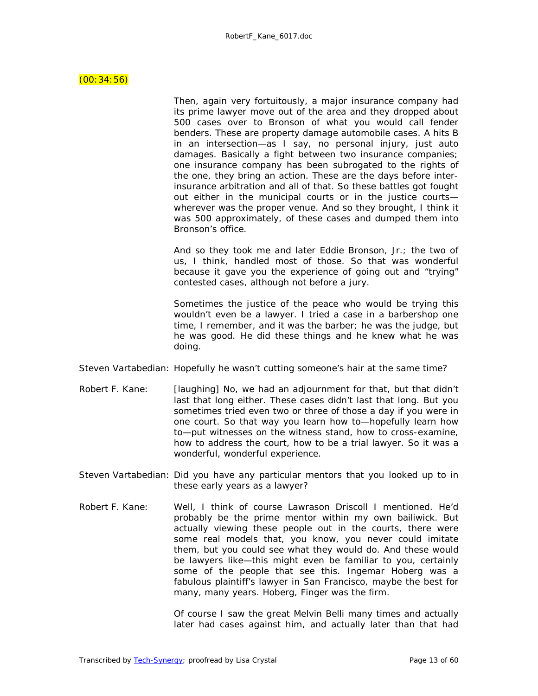#### $(00:34:56)$

Then, again very fortuitously, a major insurance company had its prime lawyer move out of the area and they dropped about 500 cases over to Bronson of what you would call fender benders. These are property damage automobile cases. A hits B in an intersection—as I say, no personal injury, just auto damages. Basically a fight between two insurance companies; one insurance company has been subrogated to the rights of the one, they bring an action. These are the days before interinsurance arbitration and all of that. So these battles got fought out either in the municipal courts or in the justice courts wherever was the proper venue. And so they brought, I think it was 500 approximately, of these cases and dumped them into Bronson's office.

And so they took me and later Eddie Bronson, Jr.; the two of us, I think, handled most of those. So that was wonderful because it gave you the experience of going out and "trying" contested cases, although not before a jury.

Sometimes the justice of the peace who would be trying this wouldn't even be a lawyer. I tried a case in a barbershop one time, I remember, and it was the barber; he was the judge, but he was good. He did these things and he knew what he was doing.

- Steven Vartabedian: Hopefully he wasn't cutting someone's hair at the same time?
- Robert F. Kane: *[laughing]* No, we had an adjournment for that, but that didn't last that long either. These cases didn't last that long. But you sometimes tried even two or three of those a day if you were in one court. So that way you learn how to—hopefully learn how to—put witnesses on the witness stand, how to cross-examine, how to address the court, how to be a trial lawyer. So it was a wonderful, wonderful experience.
- Steven Vartabedian: Did you have any particular mentors that you looked up to in these early years as a lawyer?
- Robert F. Kane: Well, I think of course Lawrason Driscoll I mentioned. He'd probably be the prime mentor within my own bailiwick. But actually viewing these people out in the courts, there were some real models that, you know, you never could imitate them, but you could see what they would do. And these would be lawyers like—this might even be familiar to you, certainly some of the people that see this. Ingemar Hoberg was a fabulous plaintiff's lawyer in San Francisco, maybe the best for many, many years. Hoberg, Finger was the firm.

Of course I saw the great Melvin Belli many times and actually later had cases against him, and actually later than that had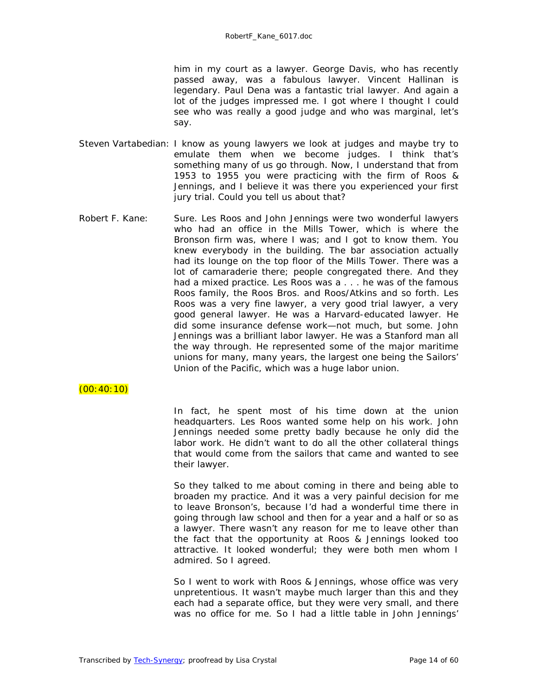him in my court as a lawyer. George Davis, who has recently passed away, was a fabulous lawyer. Vincent Hallinan is legendary. Paul Dena was a fantastic trial lawyer. And again a lot of the judges impressed me. I got where I thought I could see who was really a good judge and who was marginal, let's say.

- Steven Vartabedian: I know as young lawyers we look at judges and maybe try to emulate them when we become judges. I think that's something many of us go through. Now, I understand that from 1953 to 1955 you were practicing with the firm of Roos & Jennings, and I believe it was there you experienced your first jury trial. Could you tell us about that?
- Robert F. Kane: Sure. Les Roos and John Jennings were two wonderful lawyers who had an office in the Mills Tower, which is where the Bronson firm was, where I was; and I got to know them. You knew everybody in the building. The bar association actually had its lounge on the top floor of the Mills Tower. There was a lot of camaraderie there; people congregated there. And they had a mixed practice. Les Roos was a . . . he was of the famous Roos family, the Roos Bros. and Roos/Atkins and so forth. Les Roos was a very fine lawyer, a very good trial lawyer, a very good general lawyer. He was a Harvard-educated lawyer. He did some insurance defense work—not much, but some. John Jennings was a brilliant labor lawyer. He was a Stanford man all the way through. He represented some of the major maritime unions for many, many years, the largest one being the Sailors' Union of the Pacific, which was a huge labor union.

# $(00:40:10)$

In fact, he spent most of his time down at the union headquarters. Les Roos wanted some help on his work. John Jennings needed some pretty badly because he only did the labor work. He didn't want to do all the other collateral things that would come from the sailors that came and wanted to see their lawyer.

So they talked to me about coming in there and being able to broaden my practice. And it was a very painful decision for me to leave Bronson's, because I'd had a wonderful time there in going through law school and then for a year and a half or so as a lawyer. There wasn't any reason for me to leave other than the fact that the opportunity at Roos & Jennings looked too attractive. It looked wonderful; they were both men whom I admired. So I agreed.

So I went to work with Roos & Jennings, whose office was very unpretentious. It wasn't maybe much larger than this and they each had a separate office, but they were very small, and there was no office for me. So I had a little table in John Jennings'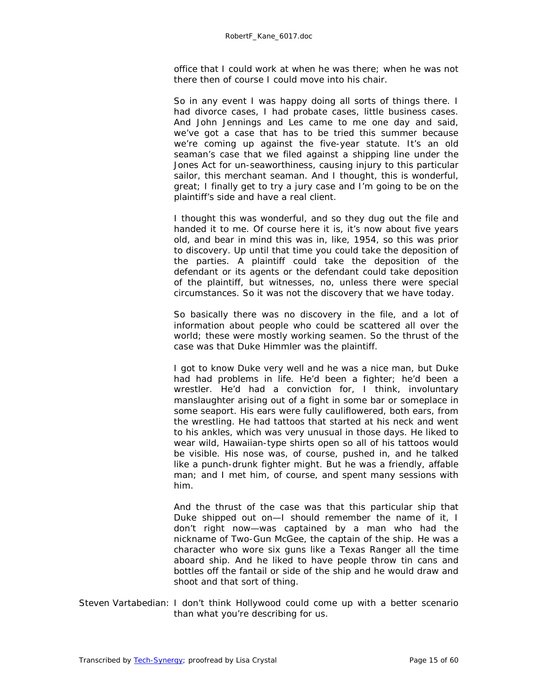office that I could work at when he was there; when he was not there then of course I could move into his chair.

So in any event I was happy doing all sorts of things there. I had divorce cases, I had probate cases, little business cases. And John Jennings and Les came to me one day and said, we've got a case that has to be tried this summer because we're coming up against the five-year statute. It's an old seaman's case that we filed against a shipping line under the Jones Act for un-seaworthiness, causing injury to this particular sailor, this merchant seaman. And I thought, this is wonderful, great; I finally get to try a jury case and I'm going to be on the plaintiff's side and have a real client.

I thought this was wonderful, and so they dug out the file and handed it to me. Of course here it is, it's now about five years old, and bear in mind this was in, like, 1954, so this was prior to discovery. Up until that time you could take the deposition of the parties. A plaintiff could take the deposition of the defendant or its agents or the defendant could take deposition of the plaintiff, but witnesses, no, unless there were special circumstances. So it was not the discovery that we have today.

So basically there was no discovery in the file, and a lot of information about people who could be scattered all over the world; these were mostly working seamen. So the thrust of the case was that Duke Himmler was the plaintiff.

I got to know Duke very well and he was a nice man, but Duke had had problems in life. He'd been a fighter; he'd been a wrestler. He'd had a conviction for, I think, involuntary manslaughter arising out of a fight in some bar or someplace in some seaport. His ears were fully cauliflowered, both ears, from the wrestling. He had tattoos that started at his neck and went to his ankles, which was very unusual in those days. He liked to wear wild, Hawaiian-type shirts open so all of his tattoos would be visible. His nose was, of course, pushed in, and he talked like a punch-drunk fighter might. But he was a friendly, affable man; and I met him, of course, and spent many sessions with him.

And the thrust of the case was that this particular ship that Duke shipped out on—I should remember the name of it, I don't right now—was captained by a man who had the nickname of Two-Gun McGee, the captain of the ship. He was a character who wore six guns like a Texas Ranger all the time aboard ship. And he liked to have people throw tin cans and bottles off the fantail or side of the ship and he would draw and shoot and that sort of thing.

Steven Vartabedian: I don't think Hollywood could come up with a better scenario than what you're describing for us.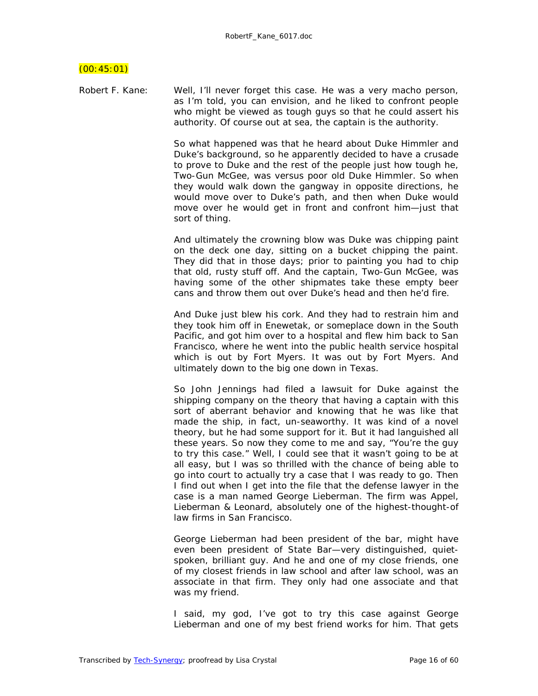# $(00:45:01)$

Robert F. Kane: Well, I'll never forget this case. He was a very macho person, as I'm told, you can envision, and he liked to confront people who might be viewed as tough guys so that he could assert his authority. Of course out at sea, the captain is the authority.

> So what happened was that he heard about Duke Himmler and Duke's background, so he apparently decided to have a crusade to prove to Duke and the rest of the people just how tough he, Two-Gun McGee, was versus poor old Duke Himmler. So when they would walk down the gangway in opposite directions, he would move over to Duke's path, and then when Duke would move over he would get in front and confront him—just that sort of thing.

> And ultimately the crowning blow was Duke was chipping paint on the deck one day, sitting on a bucket chipping the paint. They did that in those days; prior to painting you had to chip that old, rusty stuff off. And the captain, Two-Gun McGee, was having some of the other shipmates take these empty beer cans and throw them out over Duke's head and then he'd fire.

> And Duke just blew his cork. And they had to restrain him and they took him off in Enewetak, or someplace down in the South Pacific, and got him over to a hospital and flew him back to San Francisco, where he went into the public health service hospital which is out by Fort Myers. It was out by Fort Myers. And ultimately down to the big one down in Texas.

> So John Jennings had filed a lawsuit for Duke against the shipping company on the theory that having a captain with this sort of aberrant behavior and knowing that he was like that made the ship, in fact, un-seaworthy. It was kind of a novel theory, but he had some support for it. But it had languished all these years. So now they come to me and say, "You're the guy to try this case." Well, I could see that it wasn't going to be at all easy, but I was so thrilled with the chance of being able to go into court to actually try a case that I was ready to go. Then I find out when I get into the file that the defense lawyer in the case is a man named George Lieberman. The firm was Appel, Lieberman & Leonard, absolutely one of the highest-thought-of law firms in San Francisco.

> George Lieberman had been president of the bar, might have even been president of State Bar—very distinguished, quietspoken, brilliant guy. And he and one of my close friends, one of my closest friends in law school and after law school, was an associate in that firm. They only had one associate and that was my friend.

> I said, my god, I've got to try this case against George Lieberman and one of my best friend works for him. That gets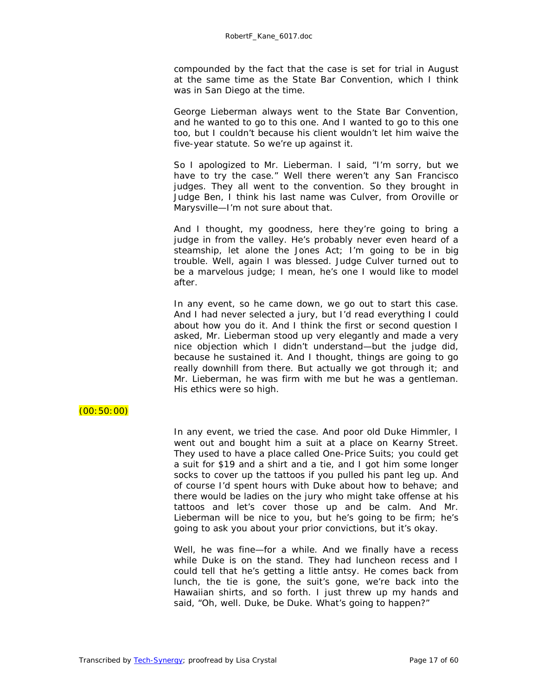compounded by the fact that the case is set for trial in August at the same time as the State Bar Convention, which I think was in San Diego at the time.

George Lieberman always went to the State Bar Convention, and he wanted to go to this one. And I wanted to go to this one too, but I couldn't because his client wouldn't let him waive the five-year statute. So we're up against it.

So I apologized to Mr. Lieberman. I said, "I'm sorry, but we have to try the case." Well there weren't any San Francisco judges. They all went to the convention. So they brought in Judge Ben, I think his last name was Culver, from Oroville or Marysville—I'm not sure about that.

And I thought, my goodness, here they're going to bring a judge in from the valley. He's probably never even heard of a steamship, let alone the Jones Act; I'm going to be in big trouble. Well, again I was blessed. Judge Culver turned out to be a marvelous judge; I mean, he's one I would like to model after.

In any event, so he came down, we go out to start this case. And I had never selected a jury, but I'd read everything I could about how you do it. And I think the first or second question I asked, Mr. Lieberman stood up very elegantly and made a very nice objection which I didn't understand—but the judge did, because he sustained it. And I thought, things are going to go really downhill from there. But actually we got through it; and Mr. Lieberman, he was firm with me but he was a gentleman. His ethics were so high.

# $(00:50:00)$

In any event, we tried the case. And poor old Duke Himmler, I went out and bought him a suit at a place on Kearny Street. They used to have a place called One-Price Suits; you could get a suit for \$19 and a shirt and a tie, and I got him some longer socks to cover up the tattoos if you pulled his pant leg up. And of course I'd spent hours with Duke about how to behave; and there would be ladies on the jury who might take offense at his tattoos and let's cover those up and be calm. And Mr. Lieberman will be nice to you, but he's going to be firm; he's going to ask you about your prior convictions, but it's okay.

Well, he was fine—for a while. And we finally have a recess while Duke is on the stand. They had luncheon recess and I could tell that he's getting a little antsy. He comes back from lunch, the tie is gone, the suit's gone, we're back into the Hawaiian shirts, and so forth. I just threw up my hands and said, "Oh, well. Duke, be Duke. What's going to happen?"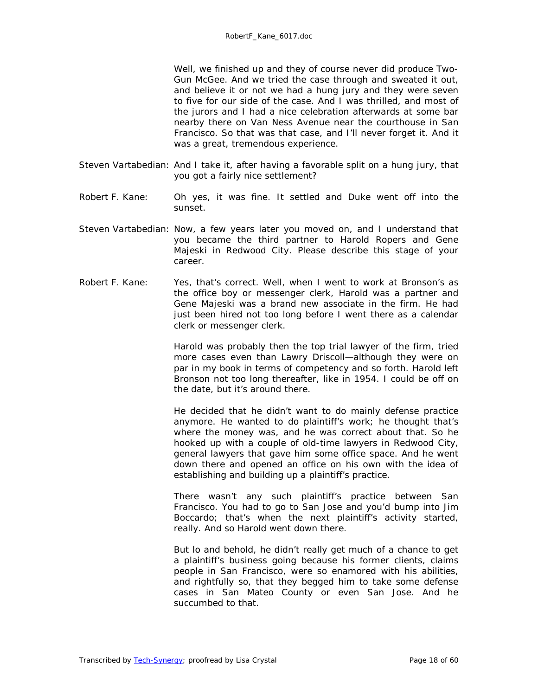Well, we finished up and they of course never did produce Two-Gun McGee. And we tried the case through and sweated it out, and believe it or not we had a hung jury and they were seven to five for our side of the case. And I was thrilled, and most of the jurors and I had a nice celebration afterwards at some bar nearby there on Van Ness Avenue near the courthouse in San Francisco. So that was that case, and I'll never forget it. And it was a great, tremendous experience.

- Steven Vartabedian: And I take it, after having a favorable split on a hung jury, that you got a fairly nice settlement?
- Robert F. Kane: Oh yes, it was fine. It settled and Duke went off into the sunset.
- Steven Vartabedian: Now, a few years later you moved on, and I understand that you became the third partner to Harold Ropers and Gene Majeski in Redwood City. Please describe this stage of your career.
- Robert F. Kane: Yes, that's correct. Well, when I went to work at Bronson's as the office boy or messenger clerk, Harold was a partner and Gene Majeski was a brand new associate in the firm. He had just been hired not too long before I went there as a calendar clerk or messenger clerk.

Harold was probably then the top trial lawyer of the firm, tried more cases even than Lawry Driscoll—although they were on par in my book in terms of competency and so forth. Harold left Bronson not too long thereafter, like in 1954. I could be off on the date, but it's around there.

He decided that he didn't want to do mainly defense practice anymore. He wanted to do plaintiff's work; he thought that's where the money was, and he was correct about that. So he hooked up with a couple of old-time lawyers in Redwood City, general lawyers that gave him some office space. And he went down there and opened an office on his own with the idea of establishing and building up a plaintiff's practice.

There wasn't any such plaintiff's practice between San Francisco. You had to go to San Jose and you'd bump into Jim Boccardo; that's when the next plaintiff's activity started, really. And so Harold went down there.

But lo and behold, he didn't really get much of a chance to get a plaintiff's business going because his former clients, claims people in San Francisco, were so enamored with his abilities, and rightfully so, that they begged him to take some defense cases in San Mateo County or even San Jose. And he succumbed to that.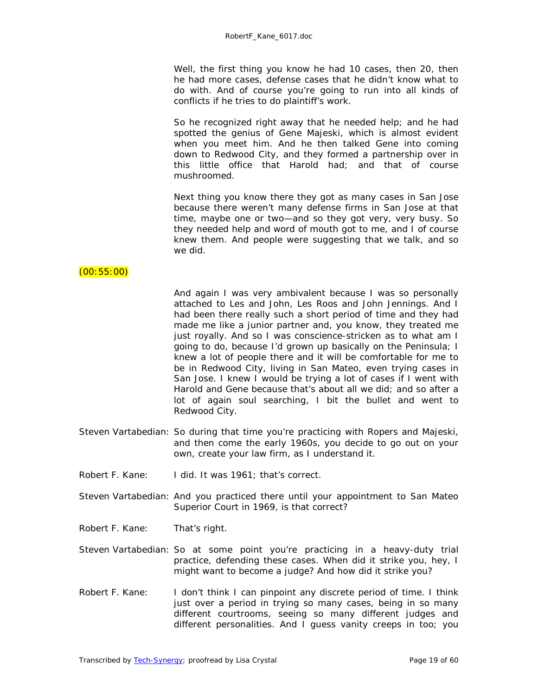Well, the first thing you know he had 10 cases, then 20, then he had more cases, defense cases that he didn't know what to do with. And of course you're going to run into all kinds of conflicts if he tries to do plaintiff's work.

So he recognized right away that he needed help; and he had spotted the genius of Gene Majeski, which is almost evident when you meet him. And he then talked Gene into coming down to Redwood City, and they formed a partnership over in this little office that Harold had; and that of course mushroomed.

Next thing you know there they got as many cases in San Jose because there weren't many defense firms in San Jose at that time, maybe one or two—and so they got very, very busy. So they needed help and word of mouth got to me, and I of course knew them. And people were suggesting that we talk, and so we did.

#### (00:55:00)

And again I was very ambivalent because I was so personally attached to Les and John, Les Roos and John Jennings. And I had been there really such a short period of time and they had made me like a junior partner and, you know, they treated me just royally. And so I was conscience-stricken as to what am I going to do, because I'd grown up basically on the Peninsula; I knew a lot of people there and it will be comfortable for me to be in Redwood City, living in San Mateo, even trying cases in San Jose. I knew I would be trying a lot of cases if I went with Harold and Gene because that's about all we did; and so after a lot of again soul searching, I bit the bullet and went to Redwood City.

- Steven Vartabedian: So during that time you're practicing with Ropers and Majeski, and then come the early 1960s, you decide to go out on your own, create your law firm, as I understand it.
- Robert F. Kane: I did. It was 1961; that's correct.
- Steven Vartabedian: And you practiced there until your appointment to San Mateo Superior Court in 1969, is that correct?
- Robert F. Kane: That's right.
- Steven Vartabedian: So at some point you're practicing in a heavy-duty trial practice, defending these cases. When did it strike you, hey, I might want to become a judge? And how did it strike you?
- Robert F. Kane: I don't think I can pinpoint any discrete period of time. I think just over a period in trying so many cases, being in so many different courtrooms, seeing so many different judges and different personalities. And I guess vanity creeps in too; you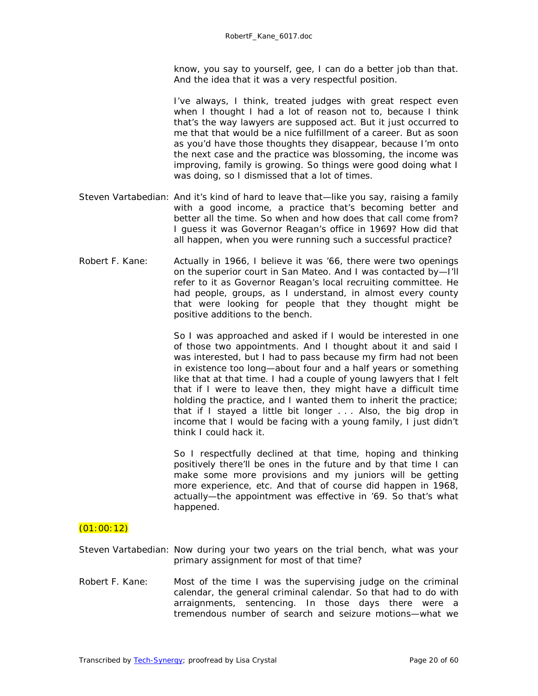know, you say to yourself, gee, I can do a better job than that. And the idea that it was a very respectful position.

I've always, I think, treated judges with great respect even when I thought I had a lot of reason not to, because I think that's the way lawyers are supposed act. But it just occurred to me that that would be a nice fulfillment of a career. But as soon as you'd have those thoughts they disappear, because I'm onto the next case and the practice was blossoming, the income was improving, family is growing. So things were good doing what I was doing, so I dismissed that a lot of times.

- Steven Vartabedian: And it's kind of hard to leave that—like you say, raising a family with a good income, a practice that's becoming better and better all the time. So when and how does that call come from? I guess it was Governor Reagan's office in 1969? How did that all happen, when you were running such a successful practice?
- Robert F. Kane: Actually in 1966, I believe it was '66, there were two openings on the superior court in San Mateo. And I was contacted by—I'll refer to it as Governor Reagan's local recruiting committee. He had people, groups, as I understand, in almost every county that were looking for people that they thought might be positive additions to the bench.

So I was approached and asked if I would be interested in one of those two appointments. And I thought about it and said I was interested, but I had to pass because my firm had not been in existence too long—about four and a half years or something like that at that time. I had a couple of young lawyers that I felt that if I were to leave then, they might have a difficult time holding the practice, and I wanted them to inherit the practice; that if I stayed a little bit longer . . . Also, the big drop in income that I would be facing with a young family, I just didn't think I could hack it.

So I respectfully declined at that time, hoping and thinking positively there'll be ones in the future and by that time I can make some more provisions and my juniors will be getting more experience, etc. And that of course did happen in 1968, actually—the appointment was effective in '69. So that's what happened.

# $(01:00:12)$

- Steven Vartabedian: Now during your two years on the trial bench, what was your primary assignment for most of that time?
- Robert F. Kane: Most of the time I was the supervising judge on the criminal calendar, the general criminal calendar. So that had to do with arraignments, sentencing. In those days there were a tremendous number of search and seizure motions—what we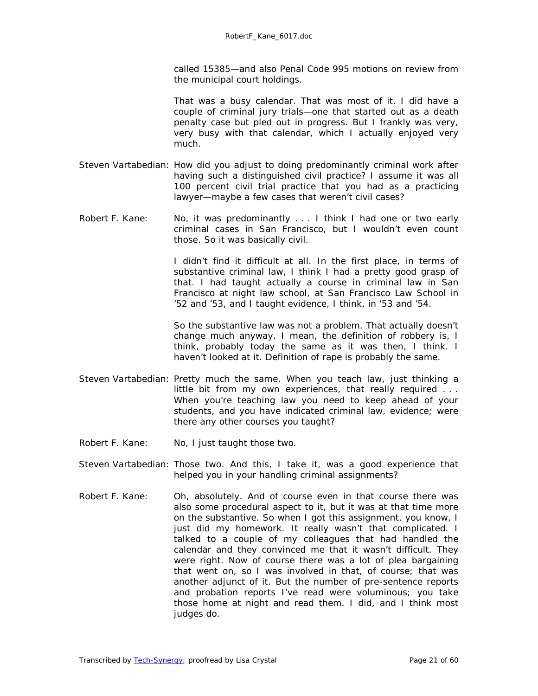called 15385—and also Penal Code 995 motions on review from the municipal court holdings.

That was a busy calendar. That was most of it. I did have a couple of criminal jury trials—one that started out as a death penalty case but pled out in progress. But I frankly was very, very busy with that calendar, which I actually enjoyed very much.

- Steven Vartabedian: How did you adjust to doing predominantly criminal work after having such a distinguished civil practice? I assume it was all 100 percent civil trial practice that you had as a practicing lawyer—maybe a few cases that weren't civil cases?
- Robert F. Kane: No, it was predominantly . . . I think I had one or two early criminal cases in San Francisco, but I wouldn't even count those. So it was basically civil.

I didn't find it difficult at all. In the first place, in terms of substantive criminal law, I think I had a pretty good grasp of that. I had taught actually a course in criminal law in San Francisco at night law school, at San Francisco Law School in '52 and '53, and I taught evidence, I think, in '53 and '54.

So the substantive law was not a problem. That actually doesn't change much anyway. I mean, the definition of robbery is, I think, probably today the same as it was then, I think. I haven't looked at it. Definition of rape is probably the same.

- Steven Vartabedian: Pretty much the same. When you teach law, just thinking a little bit from my own experiences, that really required . . . When you're teaching law you need to keep ahead of your students, and you have indicated criminal law, evidence; were there any other courses you taught?
- Robert F. Kane: No, I just taught those two.
- Steven Vartabedian: Those two. And this, I take it, was a good experience that helped you in your handling criminal assignments?
- Robert F. Kane: Oh, absolutely. And of course even in that course there was also some procedural aspect to it, but it was at that time more on the substantive. So when I got this assignment, you know, I just did my homework. It really wasn't that complicated. I talked to a couple of my colleagues that had handled the calendar and they convinced me that it wasn't difficult. They were right. Now of course there was a lot of plea bargaining that went on, so I was involved in that, of course; that was another adjunct of it. But the number of pre-sentence reports and probation reports I've read were voluminous; you take those home at night and read them. I did, and I think most judges do.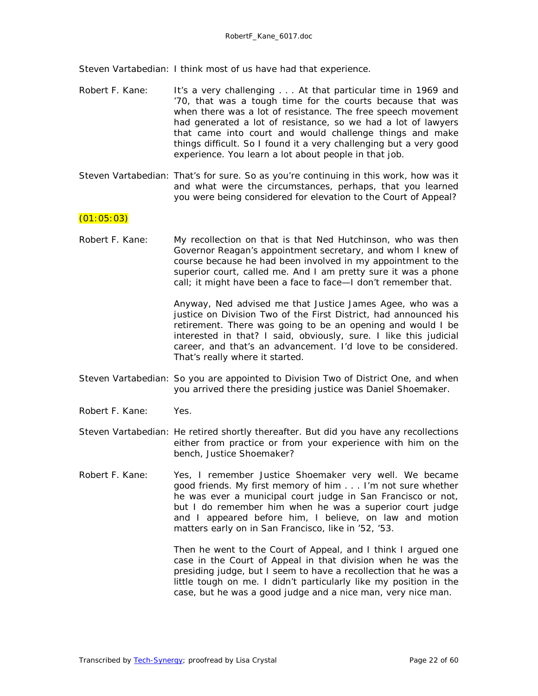Steven Vartabedian: I think most of us have had that experience.

- Robert F. Kane: It's a very challenging . . . At that particular time in 1969 and '70, that was a tough time for the courts because that was when there was a lot of resistance. The free speech movement had generated a lot of resistance, so we had a lot of lawyers that came into court and would challenge things and make things difficult. So I found it a very challenging but a very good experience. You learn a lot about people in that job.
- Steven Vartabedian: That's for sure. So as you're continuing in this work, how was it and what were the circumstances, perhaps, that you learned you were being considered for elevation to the Court of Appeal?

# $(01:05:03)$

Robert F. Kane: My recollection on that is that Ned Hutchinson, who was then Governor Reagan's appointment secretary, and whom I knew of course because he had been involved in my appointment to the superior court, called me. And I am pretty sure it was a phone call; it might have been a face to face—I don't remember that.

> Anyway, Ned advised me that Justice James Agee, who was a justice on Division Two of the First District, had announced his retirement. There was going to be an opening and would I be interested in that? I said, obviously, sure. I like this judicial career, and that's an advancement. I'd love to be considered. That's really where it started.

- Steven Vartabedian: So you are appointed to Division Two of District One, and when you arrived there the presiding justice was Daniel Shoemaker.
- Robert F. Kane: Yes.
- Steven Vartabedian: He retired shortly thereafter. But did you have any recollections either from practice or from your experience with him on the bench, Justice Shoemaker?
- Robert F. Kane: Yes, I remember Justice Shoemaker very well. We became good friends. My first memory of him . . . I'm not sure whether he was ever a municipal court judge in San Francisco or not, but I do remember him when he was a superior court judge and I appeared before him, I believe, on law and motion matters early on in San Francisco, like in '52, '53.

Then he went to the Court of Appeal, and I think I argued one case in the Court of Appeal in that division when he was the presiding judge, but I seem to have a recollection that he was a little tough on me. I didn't particularly like my position in the case, but he was a good judge and a nice man, very nice man.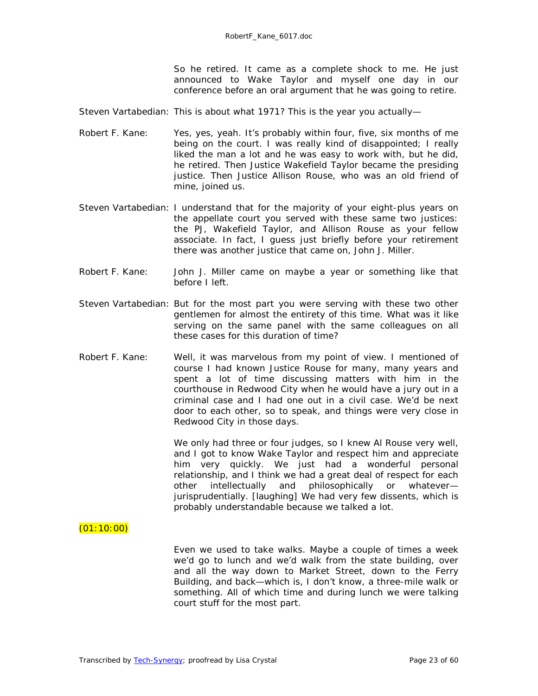So he retired. It came as a complete shock to me. He just announced to Wake Taylor and myself one day in our conference before an oral argument that he was going to retire.

Steven Vartabedian: This is about what 1971? This is the year you actually—

- Robert F. Kane: Yes, yes, yeah. It's probably within four, five, six months of me being on the court. I was really kind of disappointed; I really liked the man a lot and he was easy to work with, but he did, he retired. Then Justice Wakefield Taylor became the presiding justice. Then Justice Allison Rouse, who was an old friend of mine, joined us.
- Steven Vartabedian: I understand that for the majority of your eight-plus years on the appellate court you served with these same two justices: the PJ, Wakefield Taylor, and Allison Rouse as your fellow associate. In fact, I guess just briefly before your retirement there was another justice that came on, John J. Miller.
- Robert F. Kane: John J. Miller came on maybe a year or something like that before I left.
- Steven Vartabedian: But for the most part you were serving with these two other gentlemen for almost the entirety of this time. What was it like serving on the same panel with the same colleagues on all these cases for this duration of time?
- Robert F. Kane: Well, it was marvelous from my point of view. I mentioned of course I had known Justice Rouse for many, many years and spent a lot of time discussing matters with him in the courthouse in Redwood City when he would have a jury out in a criminal case and I had one out in a civil case. We'd be next door to each other, so to speak, and things were very close in Redwood City in those days.

We only had three or four judges, so I knew AI Rouse very well, and I got to know Wake Taylor and respect him and appreciate him very quickly. We just had a wonderful personal relationship, and I think we had a great deal of respect for each other intellectually and philosophically or whatever jurisprudentially. *[laughing]* We had very few dissents, which is probably understandable because we talked a lot.

#### $(01:10:00)$

Even we used to take walks. Maybe a couple of times a week we'd go to lunch and we'd walk from the state building, over and all the way down to Market Street, down to the Ferry Building, and back—which is, I don't know, a three-mile walk or something. All of which time and during lunch we were talking court stuff for the most part.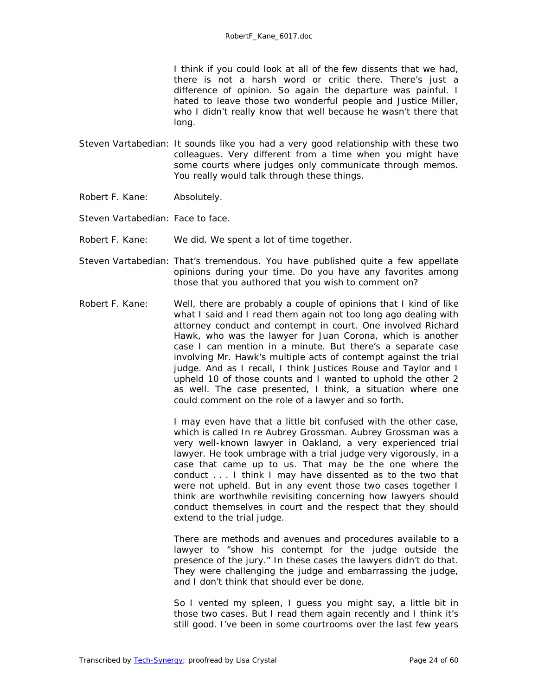I think if you could look at all of the few dissents that we had, there is not a harsh word or critic there. There's just a difference of opinion. So again the departure was painful. I hated to leave those two wonderful people and Justice Miller, who I didn't really know that well because he wasn't there that long.

- Steven Vartabedian: It sounds like you had a very good relationship with these two colleagues. Very different from a time when you might have some courts where judges only communicate through memos. You really would talk through these things.
- Robert F. Kane: Absolutely.
- Steven Vartabedian: Face to face.
- Robert F. Kane: We did. We spent a lot of time together.
- Steven Vartabedian: That's tremendous. You have published quite a few appellate opinions during your time. Do you have any favorites among those that you authored that you wish to comment on?
- Robert F. Kane: Well, there are probably a couple of opinions that I kind of like what I said and I read them again not too long ago dealing with attorney conduct and contempt in court. One involved Richard Hawk, who was the lawyer for Juan Corona, which is another case I can mention in a minute. But there's a separate case involving Mr. Hawk's multiple acts of contempt against the trial judge. And as I recall, I think Justices Rouse and Taylor and I upheld 10 of those counts and I wanted to uphold the other 2 as well. The case presented, I think, a situation where one could comment on the role of a lawyer and so forth.

I may even have that a little bit confused with the other case, which is called *In re Aubrey Grossman*. Aubrey Grossman was a very well-known lawyer in Oakland, a very experienced trial lawyer. He took umbrage with a trial judge very vigorously, in a case that came up to us. That may be the one where the conduct . . . I think I may have dissented as to the two that were not upheld. But in any event those two cases together I think are worthwhile revisiting concerning how lawyers should conduct themselves in court and the respect that they should extend to the trial judge.

There are methods and avenues and procedures available to a lawyer to "show his contempt for the judge outside the presence of the jury." In these cases the lawyers didn't do that. They were challenging the judge and embarrassing the judge, and I don't think that should ever be done.

So I vented my spleen, I guess you might say, a little bit in those two cases. But I read them again recently and I think it's still good. I've been in some courtrooms over the last few years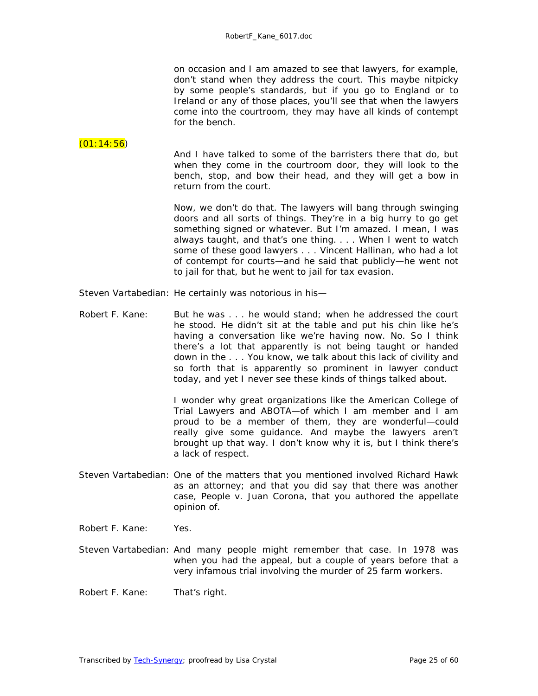on occasion and I am amazed to see that lawyers, for example, don't stand when they address the court. This maybe nitpicky by some people's standards, but if you go to England or to Ireland or any of those places, you'll see that when the lawyers come into the courtroom, they may have all kinds of contempt for the bench.

#### $(01:14:56)$

And I have talked to some of the barristers there that do, but when they come in the courtroom door, they will look to the bench, stop, and bow their head, and they will get a bow in return from the court.

Now, we don't do that. The lawyers will bang through swinging doors and all sorts of things. They're in a big hurry to go get something signed or whatever. But I'm amazed. I mean, I was always taught, and that's one thing. . . . When I went to watch some of these good lawyers . . . Vincent Hallinan, who had a lot of contempt for courts—and he said that publicly—he went not to jail for that, but he went to jail for tax evasion.

- Steven Vartabedian: He certainly was notorious in his—
- Robert F. Kane: But he was . . . he would stand; when he addressed the court he stood. He didn't sit at the table and put his chin like he's having a conversation like we're having now. No. So I think there's a lot that apparently is not being taught or handed down in the . . . You know, we talk about this lack of civility and so forth that is apparently so prominent in lawyer conduct today, and yet I never see these kinds of things talked about.

I wonder why great organizations like the American College of Trial Lawyers and ABOTA—of which I am member and I am proud to be a member of them, they are wonderful—could really give some guidance. And maybe the lawyers aren't brought up that way. I don't know why it is, but I think there's a lack of respect.

Steven Vartabedian: One of the matters that you mentioned involved Richard Hawk as an attorney; and that you did say that there was another case, *People v. Juan Corona,* that you authored the appellate opinion of.

Robert F. Kane: Yes.

- Steven Vartabedian: And many people might remember that case. In 1978 was when you had the appeal, but a couple of years before that a very infamous trial involving the murder of 25 farm workers.
- Robert F. Kane: That's right.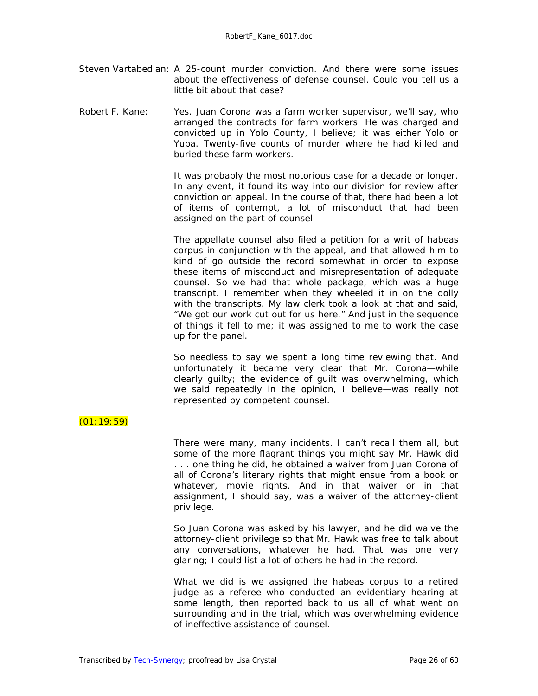Steven Vartabedian: A 25-count murder conviction. And there were some issues about the effectiveness of defense counsel. Could you tell us a little bit about that case?

Robert F. Kane: Yes. Juan Corona was a farm worker supervisor, we'll say, who arranged the contracts for farm workers. He was charged and convicted up in Yolo County, I believe; it was either Yolo or Yuba. Twenty-five counts of murder where he had killed and buried these farm workers.

> It was probably the most notorious case for a decade or longer. In any event, it found its way into our division for review after conviction on appeal. In the course of that, there had been a lot of items of contempt, a lot of misconduct that had been assigned on the part of counsel.

> The appellate counsel also filed a petition for a writ of habeas corpus in conjunction with the appeal, and that allowed him to kind of go outside the record somewhat in order to expose these items of misconduct and misrepresentation of adequate counsel. So we had that whole package, which was a huge transcript. I remember when they wheeled it in on the dolly with the transcripts. My law clerk took a look at that and said, "We got our work cut out for us here." And just in the sequence of things it fell to me; it was assigned to me to work the case up for the panel.

> So needless to say we spent a long time reviewing that. And unfortunately it became very clear that Mr. Corona—while clearly guilty; the evidence of guilt was overwhelming, which we said repeatedly in the opinion, I believe—was really not represented by competent counsel.

# $(01:19:59)$

There were many, many incidents. I can't recall them all, but some of the more flagrant things you might say Mr. Hawk did . . . one thing he did, he obtained a waiver from Juan Corona of all of Corona's literary rights that might ensue from a book or whatever, movie rights. And in that waiver or in that assignment, I should say, was a waiver of the attorney-client privilege.

So Juan Corona was asked by his lawyer, and he did waive the attorney-client privilege so that Mr. Hawk was free to talk about any conversations, whatever he had. That was one very glaring; I could list a lot of others he had in the record.

What we did is we assigned the habeas corpus to a retired judge as a referee who conducted an evidentiary hearing at some length, then reported back to us all of what went on surrounding and in the trial, which was overwhelming evidence of ineffective assistance of counsel.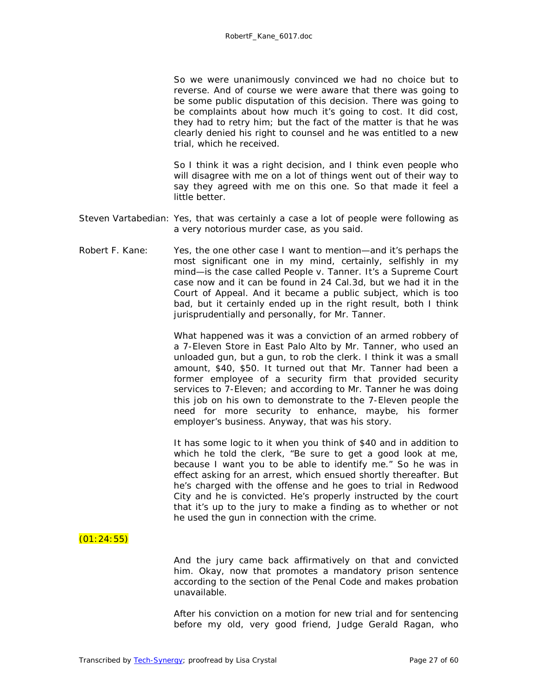So we were unanimously convinced we had no choice but to reverse. And of course we were aware that there was going to be some public disputation of this decision. There was going to be complaints about how much it's going to cost. It did cost, they had to retry him; but the fact of the matter is that he was clearly denied his right to counsel and he was entitled to a new trial, which he received.

So I think it was a right decision, and I think even people who will disagree with me on a lot of things went out of their way to say they agreed with me on this one. So that made it feel a little better.

- Steven Vartabedian: Yes, that was certainly a case a lot of people were following as a very notorious murder case, as you said.
- Robert F. Kane: Yes, the one other case I want to mention—and it's perhaps the most significant one in my mind, certainly, selfishly in my mind—is the case called *People v. Tanner*. It's a Supreme Court case now and it can be found in 24 Cal.3d, but we had it in the Court of Appeal. And it became a public subject, which is too bad, but it certainly ended up in the right result, both I think jurisprudentially and personally, for Mr. Tanner.

What happened was it was a conviction of an armed robbery of a 7-Eleven Store in East Palo Alto by Mr. Tanner, who used an unloaded gun, but a gun, to rob the clerk. I think it was a small amount, \$40, \$50. It turned out that Mr. Tanner had been a former employee of a security firm that provided security services to 7-Eleven; and according to Mr. Tanner he was doing this job on his own to demonstrate to the 7-Eleven people the need for more security to enhance, maybe, his former employer's business. Anyway, that was his story.

It has some logic to it when you think of \$40 and in addition to which he told the clerk, "Be sure to get a good look at me, because I want you to be able to identify me." So he was in effect asking for an arrest, which ensued shortly thereafter. But he's charged with the offense and he goes to trial in Redwood City and he is convicted. He's properly instructed by the court that it's up to the jury to make a finding as to whether or not he used the gun in connection with the crime.

# $(01:24:55)$

And the jury came back affirmatively on that and convicted him. Okay, now that promotes a mandatory prison sentence according to the section of the Penal Code and makes probation unavailable.

After his conviction on a motion for new trial and for sentencing before my old, very good friend, Judge Gerald Ragan, who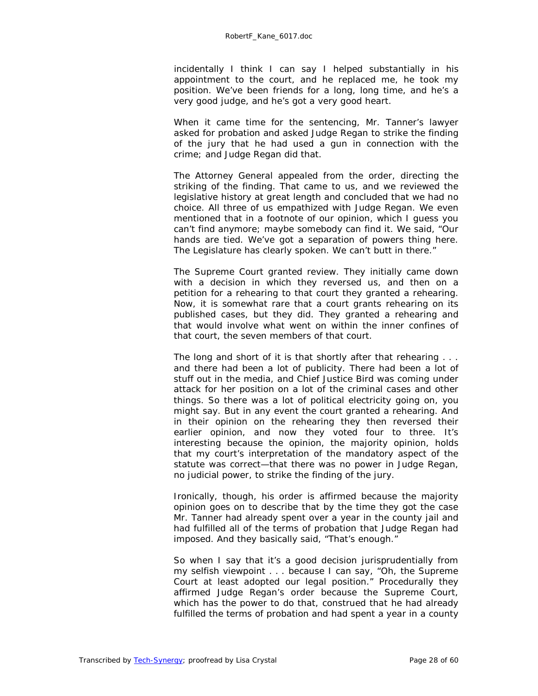incidentally I think I can say I helped substantially in his appointment to the court, and he replaced me, he took my position. We've been friends for a long, long time, and he's a very good judge, and he's got a very good heart.

When it came time for the sentencing, Mr. Tanner's lawyer asked for probation and asked Judge Regan to strike the finding of the jury that he had used a gun in connection with the crime; and Judge Regan did that.

The Attorney General appealed from the order, directing the striking of the finding. That came to us, and we reviewed the legislative history at great length and concluded that we had no choice. All three of us empathized with Judge Regan. We even mentioned that in a footnote of our opinion, which I guess you can't find anymore; maybe somebody can find it. We said, "Our hands are tied. We've got a separation of powers thing here. The Legislature has clearly spoken. We can't butt in there."

The Supreme Court granted review. They initially came down with a decision in which they reversed us, and then on a petition for a rehearing to that court they granted a rehearing. Now, it is somewhat rare that a court grants rehearing on its published cases, but they did. They granted a rehearing and that would involve what went on within the inner confines of that court, the seven members of that court.

The long and short of it is that shortly after that rehearing . . . and there had been a lot of publicity. There had been a lot of stuff out in the media, and Chief Justice Bird was coming under attack for her position on a lot of the criminal cases and other things. So there was a lot of political electricity going on, you might say. But in any event the court granted a rehearing. And in their opinion on the rehearing they then reversed their earlier opinion, and now they voted four to three. It's interesting because the opinion, the majority opinion, holds that my court's interpretation of the mandatory aspect of the statute was correct—that there was no power in Judge Regan, no judicial power, to strike the finding of the jury.

Ironically, though, his order is affirmed because the majority opinion goes on to describe that by the time they got the case Mr. Tanner had already spent over a year in the county jail and had fulfilled all of the terms of probation that Judge Regan had imposed. And they basically said, "That's enough."

So when I say that it's a good decision jurisprudentially from my selfish viewpoint . . . because I can say, "Oh, the Supreme Court at least adopted our legal position." Procedurally they affirmed Judge Regan's order because the Supreme Court, which has the power to do that, construed that he had already fulfilled the terms of probation and had spent a year in a county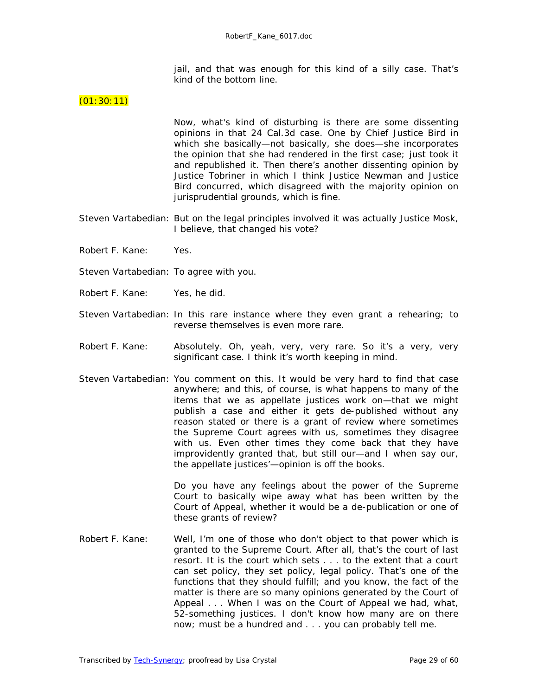jail, and that was enough for this kind of a silly case. That's kind of the bottom line.

#### $(01:30:11)$

Now, what's kind of disturbing is there are some dissenting opinions in that 24 Cal.3d case. One by Chief Justice Bird in which she basically—not basically, she does—she incorporates the opinion that she had rendered in the first case; just took it and republished it. Then there's another dissenting opinion by Justice Tobriner in which I think Justice Newman and Justice Bird concurred, which disagreed with the majority opinion on jurisprudential grounds, which is fine.

- Steven Vartabedian: But on the legal principles involved it was actually Justice Mosk, I believe, that changed his vote?
- Robert F. Kane: Yes.
- Steven Vartabedian: To agree with you.
- Robert F. Kane: Yes, he did.
- Steven Vartabedian: In this rare instance where they even grant a rehearing; to reverse themselves is even more rare.
- Robert F. Kane: Absolutely. Oh, yeah, very, very rare. So it's a very, very significant case. I think it's worth keeping in mind.
- Steven Vartabedian: You comment on this. It would be very hard to find that case anywhere; and this, of course, is what happens to many of the items that we as appellate justices work on—that we might publish a case and either it gets de-published without any reason stated or there is a grant of review where sometimes the Supreme Court agrees with us, sometimes they disagree with us. Even other times they come back that they have improvidently granted that, but still our—and I when say our, the appellate justices'—opinion is off the books.

Do you have any feelings about the power of the Supreme Court to basically wipe away what has been written by the Court of Appeal, whether it would be a de-publication or one of these grants of review?

Robert F. Kane: Well, I'm one of those who don't object to that power which is granted to the Supreme Court. After all, that's the court of last resort. It is the court which sets . . . to the extent that a court can set policy, they set policy, legal policy. That's one of the functions that they should fulfill; and you know, the fact of the matter is there are so many opinions generated by the Court of Appeal . . . When I was on the Court of Appeal we had, what, 52-something justices. I don't know how many are on there now; must be a hundred and . . . you can probably tell me.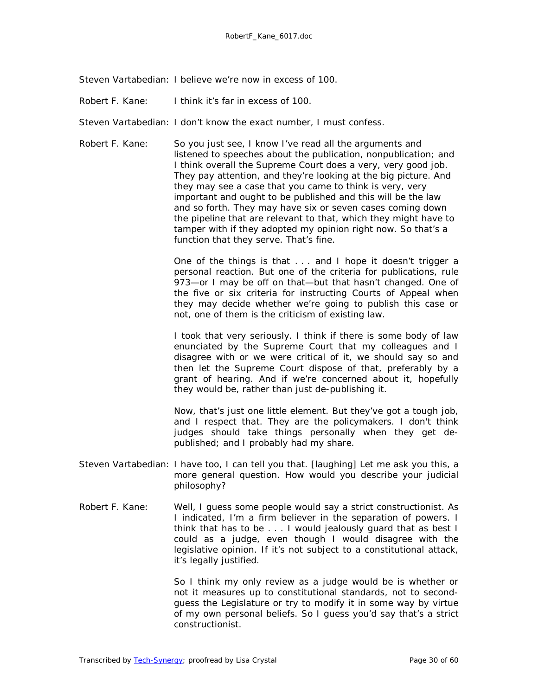Steven Vartabedian: I believe we're now in excess of 100.

Robert F. Kane: I think it's far in excess of 100.

Steven Vartabedian: I don't know the exact number, I must confess.

Robert F. Kane: So you just see, I know I've read all the arguments and listened to speeches about the publication, nonpublication; and I think overall the Supreme Court does a very, very good job. They pay attention, and they're looking at the big picture. And they may see a case that you came to think is very, very important and ought to be published and this will be the law and so forth. They may have six or seven cases coming down the pipeline that are relevant to that, which they might have to tamper with if they adopted my opinion right now. So that's a function that they serve. That's fine.

> One of the things is that . . . and I hope it doesn't trigger a personal reaction. But one of the criteria for publications, rule 973—or I may be off on that—but that hasn't changed. One of the five or six criteria for instructing Courts of Appeal when they may decide whether we're going to publish this case or not, one of them is the criticism of existing law.

> I took that very seriously. I think if there is some body of law enunciated by the Supreme Court that my colleagues and I disagree with or we were critical of it, we should say so and then let the Supreme Court dispose of that, preferably by a grant of hearing. And if we're concerned about it, hopefully they would be, rather than just de-publishing it.

> Now, that's just one little element. But they've got a tough job, and I respect that. They are the policymakers. I don't think judges should take things personally when they get depublished; and I probably had my share.

- Steven Vartabedian: I have too, I can tell you that. *[laughing]* Let me ask you this, a more general question. How would you describe your judicial philosophy?
- Robert F. Kane: Well, I guess some people would say a strict constructionist. As I indicated, I'm a firm believer in the separation of powers. I think that has to be . . . I would jealously guard that as best I could as a judge, even though I would disagree with the legislative opinion. If it's not subject to a constitutional attack, it's legally justified.

So I think my only review as a judge would be is whether or not it measures up to constitutional standards, not to secondguess the Legislature or try to modify it in some way by virtue of my own personal beliefs. So I guess you'd say that's a strict constructionist.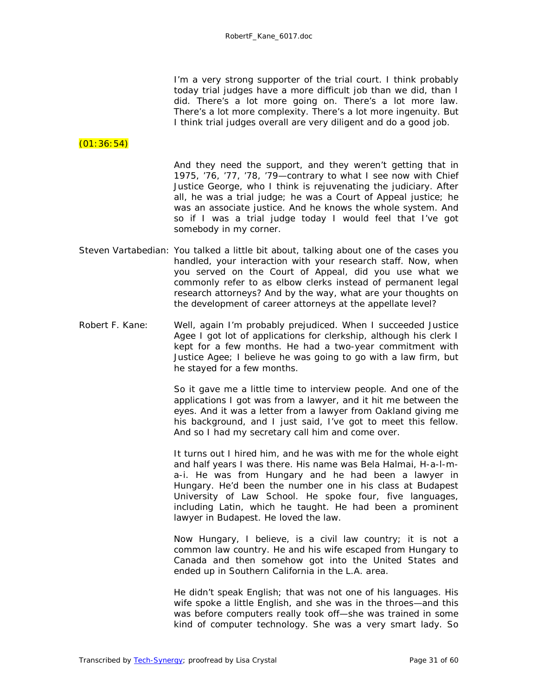I'm a very strong supporter of the trial court. I think probably today trial judges have a more difficult job than we did, than I did. There's a lot more going on. There's a lot more law. There's a lot more complexity. There's a lot more ingenuity. But I think trial judges overall are very diligent and do a good job.

# $(01:36:54)$

And they need the support, and they weren't getting that in 1975, '76, '77, '78, '79—contrary to what I see now with Chief Justice George, who I think is rejuvenating the judiciary. After all, he was a trial judge; he was a Court of Appeal justice; he was an associate justice. And he knows the whole system. And so if I was a trial judge today I would feel that I've got somebody in my corner.

- Steven Vartabedian: You talked a little bit about, talking about one of the cases you handled, your interaction with your research staff. Now, when you served on the Court of Appeal, did you use what we commonly refer to as elbow clerks instead of permanent legal research attorneys? And by the way, what are your thoughts on the development of career attorneys at the appellate level?
- Robert F. Kane: Well, again I'm probably prejudiced. When I succeeded Justice Agee I got lot of applications for clerkship, although his clerk I kept for a few months. He had a two-year commitment with Justice Agee; I believe he was going to go with a law firm, but he stayed for a few months.

So it gave me a little time to interview people. And one of the applications I got was from a lawyer, and it hit me between the eyes. And it was a letter from a lawyer from Oakland giving me his background, and I just said, I've got to meet this fellow. And so I had my secretary call him and come over.

It turns out I hired him, and he was with me for the whole eight and half years I was there. His name was Bela Halmai, H-a-l-ma-i. He was from Hungary and he had been a lawyer in Hungary. He'd been the number one in his class at Budapest University of Law School. He spoke four, five languages, including Latin, which he taught. He had been a prominent lawyer in Budapest. He loved the law.

Now Hungary, I believe, is a civil law country; it is not a common law country. He and his wife escaped from Hungary to Canada and then somehow got into the United States and ended up in Southern California in the L.A. area.

He didn't speak English; that was not one of his languages. His wife spoke a little English, and she was in the throes—and this was before computers really took off—she was trained in some kind of computer technology. She was a very smart lady. So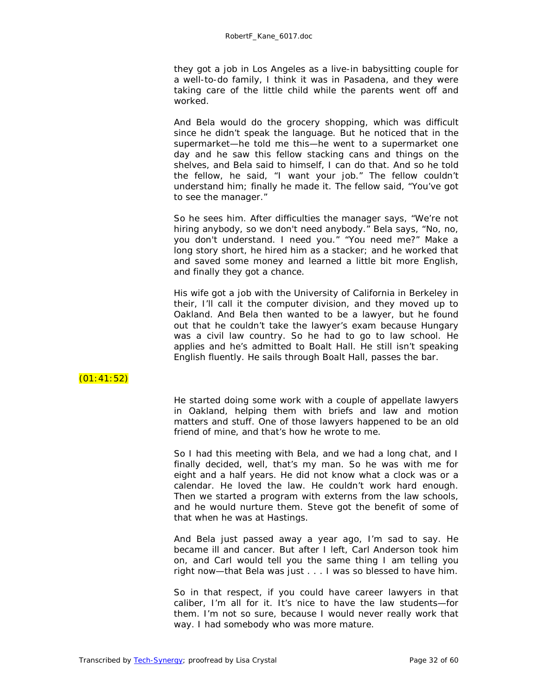they got a job in Los Angeles as a live-in babysitting couple for a well-to-do family, I think it was in Pasadena, and they were taking care of the little child while the parents went off and worked.

And Bela would do the grocery shopping, which was difficult since he didn't speak the language. But he noticed that in the supermarket—he told me this—he went to a supermarket one day and he saw this fellow stacking cans and things on the shelves, and Bela said to himself, I can do that. And so he told the fellow, he said, "I want your job." The fellow couldn't understand him; finally he made it. The fellow said, "You've got to see the manager."

So he sees him. After difficulties the manager says, "We're not hiring anybody, so we don't need anybody." Bela says, "No, no, you don't understand. I need you." "You need me?" Make a long story short, he hired him as a stacker; and he worked that and saved some money and learned a little bit more English, and finally they got a chance.

His wife got a job with the University of California in Berkeley in their, I'll call it the computer division, and they moved up to Oakland. And Bela then wanted to be a lawyer, but he found out that he couldn't take the lawyer's exam because Hungary was a civil law country. So he had to go to law school. He applies and he's admitted to Boalt Hall. He still isn't speaking English fluently. He sails through Boalt Hall, passes the bar.

# $(01:41:52)$

He started doing some work with a couple of appellate lawyers in Oakland, helping them with briefs and law and motion matters and stuff. One of those lawyers happened to be an old friend of mine, and that's how he wrote to me.

So I had this meeting with Bela, and we had a long chat, and I finally decided, well, that's my man. So he was with me for eight and a half years. He did not know what a clock was or a calendar. He loved the law. He couldn't work hard enough. Then we started a program with externs from the law schools, and he would nurture them. Steve got the benefit of some of that when he was at Hastings.

And Bela just passed away a year ago, I'm sad to say. He became ill and cancer. But after I left, Carl Anderson took him on, and Carl would tell you the same thing I am telling you right now—that Bela was just . . . I was so blessed to have him.

So in that respect, if you could have career lawyers in that caliber, I'm all for it. It's nice to have the law students—for them. I'm not so sure, because I would never really work that way. I had somebody who was more mature.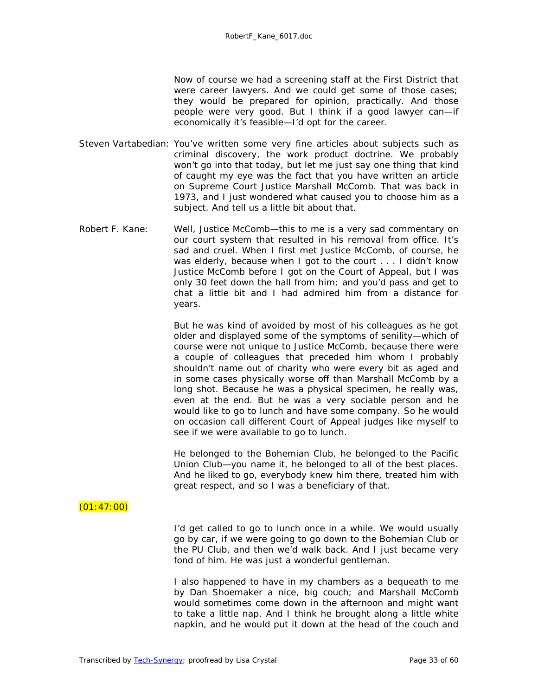Now of course we had a screening staff at the First District that were career lawyers. And we could get some of those cases; they would be prepared for opinion, practically. And those people were very good. But I think if a good lawyer can—if economically it's feasible—I'd opt for the career.

- Steven Vartabedian: You've written some very fine articles about subjects such as criminal discovery, the work product doctrine. We probably won't go into that today, but let me just say one thing that kind of caught my eye was the fact that you have written an article on Supreme Court Justice Marshall McComb. That was back in 1973, and I just wondered what caused you to choose him as a subject. And tell us a little bit about that.
- Robert F. Kane: Well, Justice McComb—this to me is a very sad commentary on our court system that resulted in his removal from office. It's sad and cruel. When I first met Justice McComb, of course, he was elderly, because when I got to the court . . . I didn't know Justice McComb before I got on the Court of Appeal, but I was only 30 feet down the hall from him; and you'd pass and get to chat a little bit and I had admired him from a distance for years.

But he was kind of avoided by most of his colleagues as he got older and displayed some of the symptoms of senility—which of course were not unique to Justice McComb, because there were a couple of colleagues that preceded him whom I probably shouldn't name out of charity who were every bit as aged and in some cases physically worse off than Marshall McComb by a long shot. Because he was a physical specimen, he really was, even at the end. But he was a very sociable person and he would like to go to lunch and have some company. So he would on occasion call different Court of Appeal judges like myself to see if we were available to go to lunch.

He belonged to the Bohemian Club, he belonged to the Pacific Union Club—you name it, he belonged to all of the best places. And he liked to go, everybody knew him there, treated him with great respect, and so I was a beneficiary of that.

# $(01:47:00)$

I'd get called to go to lunch once in a while. We would usually go by car, if we were going to go down to the Bohemian Club or the PU Club, and then we'd walk back. And I just became very fond of him. He was just a wonderful gentleman.

I also happened to have in my chambers as a bequeath to me by Dan Shoemaker a nice, big couch; and Marshall McComb would sometimes come down in the afternoon and might want to take a little nap. And I think he brought along a little white napkin, and he would put it down at the head of the couch and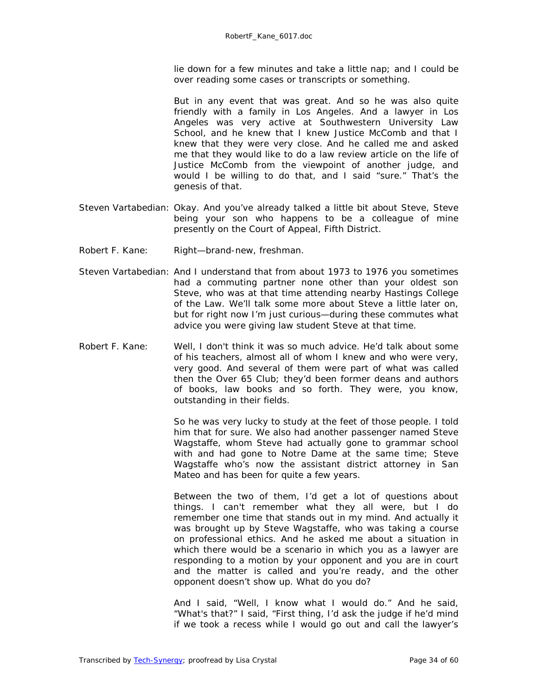lie down for a few minutes and take a little nap; and I could be over reading some cases or transcripts or something.

But in any event that was great. And so he was also quite friendly with a family in Los Angeles. And a lawyer in Los Angeles was very active at Southwestern University Law School, and he knew that I knew Justice McComb and that I knew that they were very close. And he called me and asked me that they would like to do a law review article on the life of Justice McComb from the viewpoint of another judge, and would I be willing to do that, and I said "sure." That's the genesis of that.

- Steven Vartabedian: Okay. And you've already talked a little bit about Steve, Steve being your son who happens to be a colleague of mine presently on the Court of Appeal, Fifth District.
- Robert F. Kane: Right-brand-new, freshman.
- Steven Vartabedian: And I understand that from about 1973 to 1976 you sometimes had a commuting partner none other than your oldest son Steve, who was at that time attending nearby Hastings College of the Law. We'll talk some more about Steve a little later on, but for right now I'm just curious—during these commutes what advice you were giving law student Steve at that time.
- Robert F. Kane: Well, I don't think it was so much advice. He'd talk about some of his teachers, almost all of whom I knew and who were very, very good. And several of them were part of what was called then the Over 65 Club; they'd been former deans and authors of books, law books and so forth. They were, you know, outstanding in their fields.

So he was very lucky to study at the feet of those people. I told him that for sure. We also had another passenger named Steve Wagstaffe, whom Steve had actually gone to grammar school with and had gone to Notre Dame at the same time; Steve Wagstaffe who's now the assistant district attorney in San Mateo and has been for quite a few years.

Between the two of them, I'd get a lot of questions about things. I can't remember what they all were, but I do remember one time that stands out in my mind. And actually it was brought up by Steve Wagstaffe, who was taking a course on professional ethics. And he asked me about a situation in which there would be a scenario in which you as a lawyer are responding to a motion by your opponent and you are in court and the matter is called and you're ready, and the other opponent doesn't show up. What do you do?

And I said, "Well, I know what I would do." And he said, "What's that?" I said, "First thing, I'd ask the judge if he'd mind if we took a recess while I would go out and call the lawyer's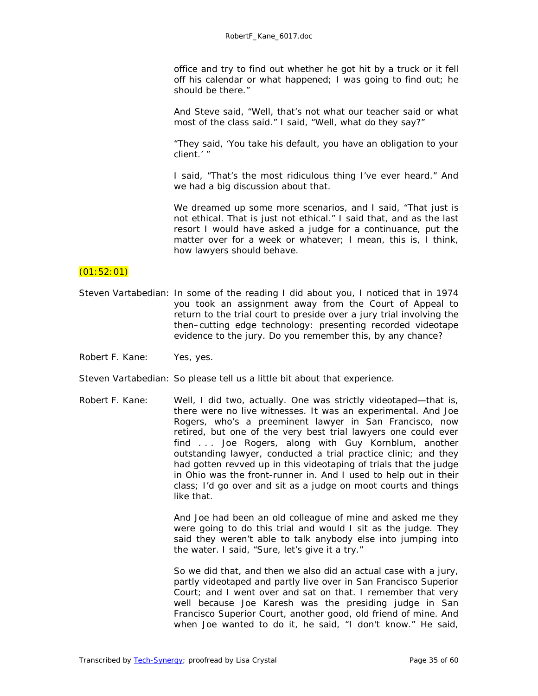office and try to find out whether he got hit by a truck or it fell off his calendar or what happened; I was going to find out; he should be there."

And Steve said, "Well, that's not what our teacher said or what most of the class said." I said, "Well, what do they say?"

"They said, 'You take his default, you have an obligation to your client.' "

I said, "That's the most ridiculous thing I've ever heard." And we had a big discussion about that.

We dreamed up some more scenarios, and I said, "That just is not ethical. That is just not ethical." I said that, and as the last resort I would have asked a judge for a continuance, put the matter over for a week or whatever; I mean, this is, I think, how lawyers should behave.

#### $(01:52:01)$

- Steven Vartabedian: In some of the reading I did about you, I noticed that in 1974 you took an assignment away from the Court of Appeal to return to the trial court to preside over a jury trial involving the then–cutting edge technology: presenting recorded videotape evidence to the jury. Do you remember this, by any chance?
- Robert F. Kane: Yes, yes.

Steven Vartabedian: So please tell us a little bit about that experience.

Robert F. Kane: Well, I did two, actually. One was strictly videotaped—that is, there were no live witnesses. It was an experimental. And Joe Rogers, who's a preeminent lawyer in San Francisco, now retired, but one of the very best trial lawyers one could ever find . . . Joe Rogers, along with Guy Kornblum, another outstanding lawyer, conducted a trial practice clinic; and they had gotten revved up in this videotaping of trials that the judge in Ohio was the front-runner in. And I used to help out in their class; I'd go over and sit as a judge on moot courts and things like that.

> And Joe had been an old colleague of mine and asked me they were going to do this trial and would I sit as the judge. They said they weren't able to talk anybody else into jumping into the water. I said, "Sure, let's give it a try."

> So we did that, and then we also did an actual case with a jury, partly videotaped and partly live over in San Francisco Superior Court; and I went over and sat on that. I remember that very well because Joe Karesh was the presiding judge in San Francisco Superior Court, another good, old friend of mine. And when Joe wanted to do it, he said, "I don't know." He said,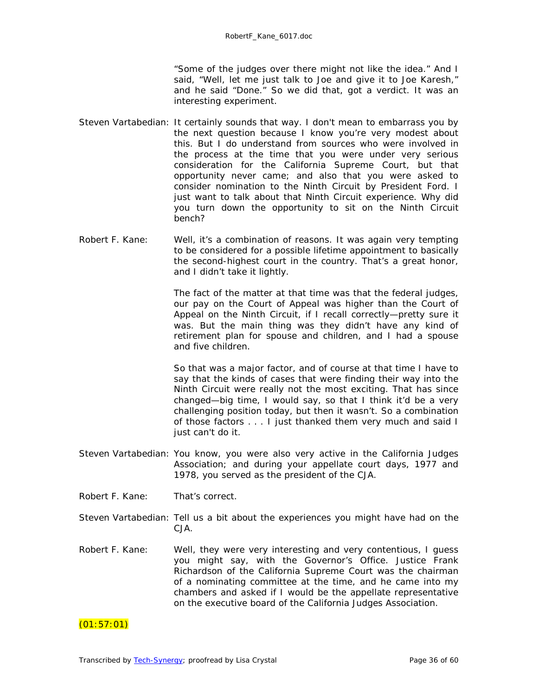"Some of the judges over there might not like the idea." And I said, "Well, let me just talk to Joe and give it to Joe Karesh," and he said "Done." So we did that, got a verdict. It was an interesting experiment.

- Steven Vartabedian: It certainly sounds that way. I don't mean to embarrass you by the next question because I know you're very modest about this. But I do understand from sources who were involved in the process at the time that you were under very serious consideration for the California Supreme Court, but that opportunity never came; and also that you were asked to consider nomination to the Ninth Circuit by President Ford. I just want to talk about that Ninth Circuit experience. Why did you turn down the opportunity to sit on the Ninth Circuit bench?
- Robert F. Kane: Well, it's a combination of reasons. It was again very tempting to be considered for a possible lifetime appointment to basically the second-highest court in the country. That's a great honor, and I didn't take it lightly.

The fact of the matter at that time was that the federal judges, our pay on the Court of Appeal was higher than the Court of Appeal on the Ninth Circuit, if I recall correctly—pretty sure it was. But the main thing was they didn't have any kind of retirement plan for spouse and children, and I had a spouse and five children.

So that was a major factor, and of course at that time I have to say that the kinds of cases that were finding their way into the Ninth Circuit were really not the most exciting. That has since changed—big time, I would say, so that I think it'd be a very challenging position today, but then it wasn't. So a combination of those factors . . . I just thanked them very much and said I just can't do it.

- Steven Vartabedian: You know, you were also very active in the California Judges Association; and during your appellate court days, 1977 and 1978, you served as the president of the CJA.
- Robert F. Kane: That's correct.
- Steven Vartabedian: Tell us a bit about the experiences you might have had on the CJA.
- Robert F. Kane: Well, they were very interesting and very contentious, I guess you might say, with the Governor's Office. Justice Frank Richardson of the California Supreme Court was the chairman of a nominating committee at the time, and he came into my chambers and asked if I would be the appellate representative on the executive board of the California Judges Association.

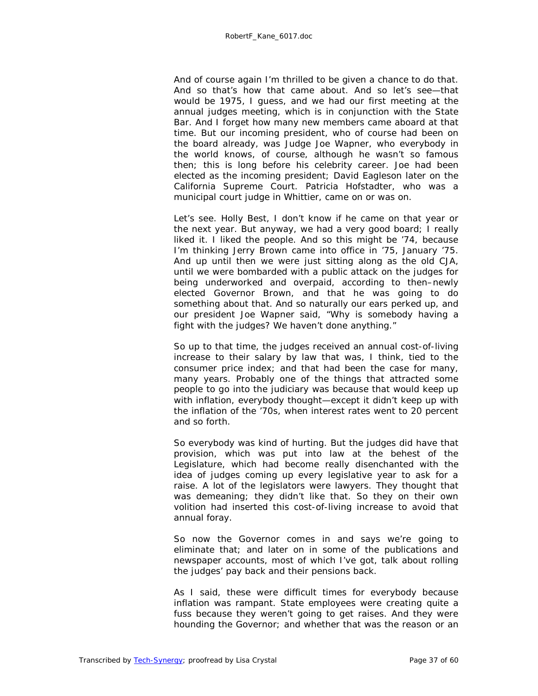And of course again I'm thrilled to be given a chance to do that. And so that's how that came about. And so let's see—that would be 1975, I guess, and we had our first meeting at the annual judges meeting, which is in conjunction with the State Bar. And I forget how many new members came aboard at that time. But our incoming president, who of course had been on the board already, was Judge Joe Wapner, who everybody in the world knows, of course, although he wasn't so famous then; this is long before his celebrity career. Joe had been elected as the incoming president; David Eagleson later on the California Supreme Court. Patricia Hofstadter, who was a municipal court judge in Whittier, came on or was on.

Let's see. Holly Best, I don't know if he came on that year or the next year. But anyway, we had a very good board; I really liked it. I liked the people. And so this might be '74, because I'm thinking Jerry Brown came into office in '75, January '75. And up until then we were just sitting along as the old CJA, until we were bombarded with a public attack on the judges for being underworked and overpaid, according to then–newly elected Governor Brown, and that he was going to do something about that. And so naturally our ears perked up, and our president Joe Wapner said, "Why is somebody having a fight with the judges? We haven't done anything."

So up to that time, the judges received an annual cost-of-living increase to their salary by law that was, I think, tied to the consumer price index; and that had been the case for many, many years. Probably one of the things that attracted some people to go into the judiciary was because that would keep up with inflation, everybody thought—except it didn't keep up with the inflation of the '70s, when interest rates went to 20 percent and so forth.

So everybody was kind of hurting. But the judges did have that provision, which was put into law at the behest of the Legislature, which had become really disenchanted with the idea of judges coming up every legislative year to ask for a raise. A lot of the legislators were lawyers. They thought that was demeaning; they didn't like that. So they on their own volition had inserted this cost-of-living increase to avoid that annual foray.

So now the Governor comes in and says we're going to eliminate that; and later on in some of the publications and newspaper accounts, most of which I've got, talk about rolling the judges' pay back and their pensions back.

As I said, these were difficult times for everybody because inflation was rampant. State employees were creating quite a fuss because they weren't going to get raises. And they were hounding the Governor; and whether that was the reason or an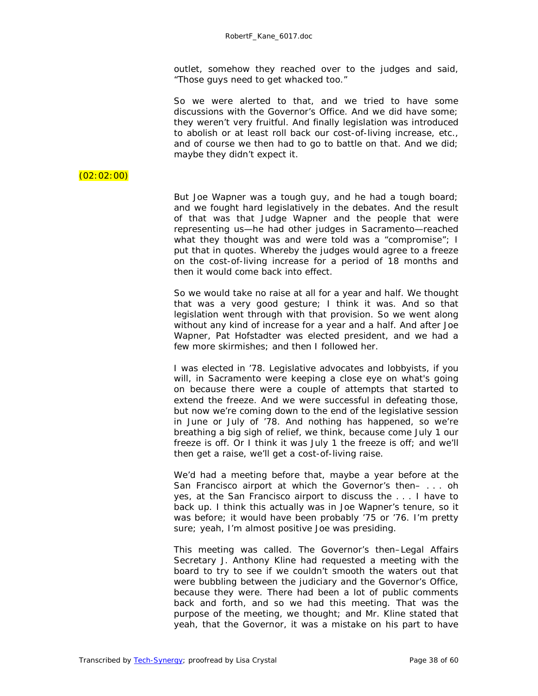outlet, somehow they reached over to the judges and said, "Those guys need to get whacked too."

So we were alerted to that, and we tried to have some discussions with the Governor's Office. And we did have some; they weren't very fruitful. And finally legislation was introduced to abolish or at least roll back our cost-of-living increase, etc., and of course we then had to go to battle on that. And we did; maybe they didn't expect it.

# $(02:02:00)$

But Joe Wapner was a tough guy, and he had a tough board; and we fought hard legislatively in the debates. And the result of that was that Judge Wapner and the people that were representing us—he had other judges in Sacramento—reached what they thought was and were told was a "compromise"; I put that in quotes. Whereby the judges would agree to a freeze on the cost-of-living increase for a period of 18 months and then it would come back into effect.

So we would take no raise at all for a year and half. We thought that was a very good gesture; I think it was. And so that legislation went through with that provision. So we went along without any kind of increase for a year and a half. And after Joe Wapner, Pat Hofstadter was elected president, and we had a few more skirmishes; and then I followed her.

I was elected in '78. Legislative advocates and lobbyists, if you will, in Sacramento were keeping a close eye on what's going on because there were a couple of attempts that started to extend the freeze. And we were successful in defeating those, but now we're coming down to the end of the legislative session in June or July of '78. And nothing has happened, so we're breathing a big sigh of relief, we think, because come July 1 our freeze is off. Or I think it was July 1 the freeze is off; and we'll then get a raise, we'll get a cost-of-living raise.

We'd had a meeting before that, maybe a year before at the San Francisco airport at which the Governor's then– . . . oh yes, at the San Francisco airport to discuss the . . . I have to back up. I think this actually was in Joe Wapner's tenure, so it was before; it would have been probably '75 or '76. I'm pretty sure; yeah, I'm almost positive Joe was presiding.

This meeting was called. The Governor's then–Legal Affairs Secretary J. Anthony Kline had requested a meeting with the board to try to see if we couldn't smooth the waters out that were bubbling between the judiciary and the Governor's Office, because they were. There had been a lot of public comments back and forth, and so we had this meeting. That was the purpose of the meeting, we thought; and Mr. Kline stated that yeah, that the Governor, it was a mistake on his part to have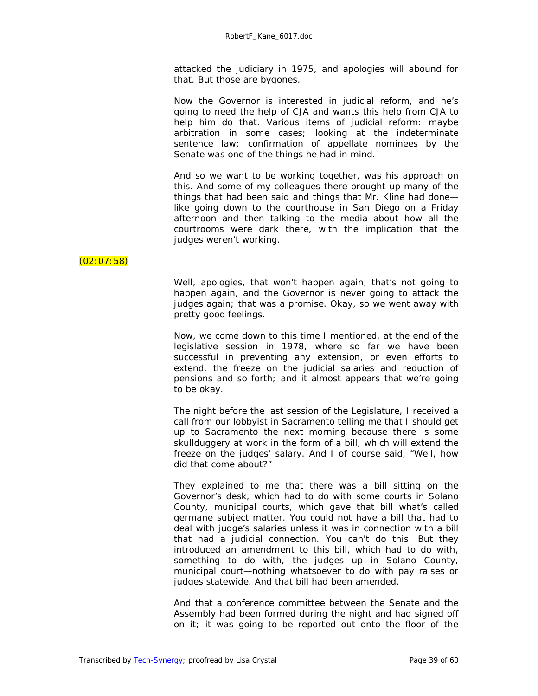attacked the judiciary in 1975, and apologies will abound for that. But those are bygones.

Now the Governor is interested in judicial reform, and he's going to need the help of CJA and wants this help from CJA to help him do that. Various items of judicial reform: maybe arbitration in some cases; looking at the indeterminate sentence law; confirmation of appellate nominees by the Senate was one of the things he had in mind.

And so we want to be working together, was his approach on this. And some of my colleagues there brought up many of the things that had been said and things that Mr. Kline had done like going down to the courthouse in San Diego on a Friday afternoon and then talking to the media about how all the courtrooms were dark there, with the implication that the judges weren't working.

# $(02:07:58)$

Well, apologies, that won't happen again, that's not going to happen again, and the Governor is never going to attack the judges again; that was a promise. Okay, so we went away with pretty good feelings.

Now, we come down to this time I mentioned, at the end of the legislative session in 1978, where so far we have been successful in preventing any extension, or even efforts to extend, the freeze on the judicial salaries and reduction of pensions and so forth; and it almost appears that we're going to be okay.

The night before the last session of the Legislature, I received a call from our lobbyist in Sacramento telling me that I should get up to Sacramento the next morning because there is some skullduggery at work in the form of a bill, which will extend the freeze on the judges' salary. And I of course said, "Well, how did that come about?"

They explained to me that there was a bill sitting on the Governor's desk, which had to do with some courts in Solano County, municipal courts, which gave that bill what's called germane subject matter. You could not have a bill that had to deal with judge's salaries unless it was in connection with a bill that had a judicial connection. You can't do this. But they introduced an amendment to this bill, which had to do with, something to do with, the judges up in Solano County, municipal court—nothing whatsoever to do with pay raises or judges statewide. And that bill had been amended.

And that a conference committee between the Senate and the Assembly had been formed during the night and had signed off on it; it was going to be reported out onto the floor of the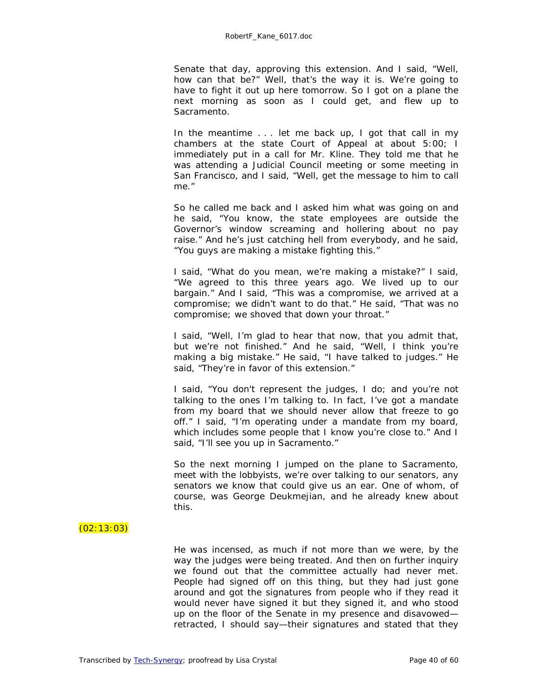Senate that day, approving this extension. And I said, "Well, how can that be?" Well, that's the way it is. We're going to have to fight it out up here tomorrow. So I got on a plane the next morning as soon as I could get, and flew up to Sacramento.

In the meantime . . . let me back up, I got that call in my chambers at the state Court of Appeal at about 5:00; I immediately put in a call for Mr. Kline. They told me that he was attending a Judicial Council meeting or some meeting in San Francisco, and I said, "Well, get the message to him to call me."

So he called me back and I asked him what was going on and he said, "You know, the state employees are outside the Governor's window screaming and hollering about no pay raise." And he's just catching hell from everybody, and he said, "You guys are making a mistake fighting this."

I said, "What do you mean, we're making a mistake?" I said, "We agreed to this three years ago. We lived up to our bargain." And I said, "This was a compromise, we arrived at a compromise; we didn't want to do that." He said, "That was no compromise; we shoved that down your throat."

I said, "Well, I'm glad to hear that now, that you admit that, but we're not finished." And he said, "Well, I think you're making a big mistake." He said, "I have talked to judges." He said, "They're in favor of this extension."

I said, "You don't represent the judges, I do; and you're not talking to the ones I'm talking to. In fact, I've got a mandate from my board that we should never allow that freeze to go off." I said, "I'm operating under a mandate from my board, which includes some people that I know you're close to." And I said, "I'll see you up in Sacramento."

So the next morning I jumped on the plane to Sacramento, meet with the lobbyists, we're over talking to our senators, any senators we know that could give us an ear. One of whom, of course, was George Deukmejian, and he already knew about this.

# $(02:13:03)$

He was incensed, as much if not more than we were, by the way the judges were being treated. And then on further inquiry we found out that the committee actually had never met. People had signed off on this thing, but they had just gone around and got the signatures from people who if they read it would never have signed it but they signed it, and who stood up on the floor of the Senate in my presence and disavowed retracted, I should say—their signatures and stated that they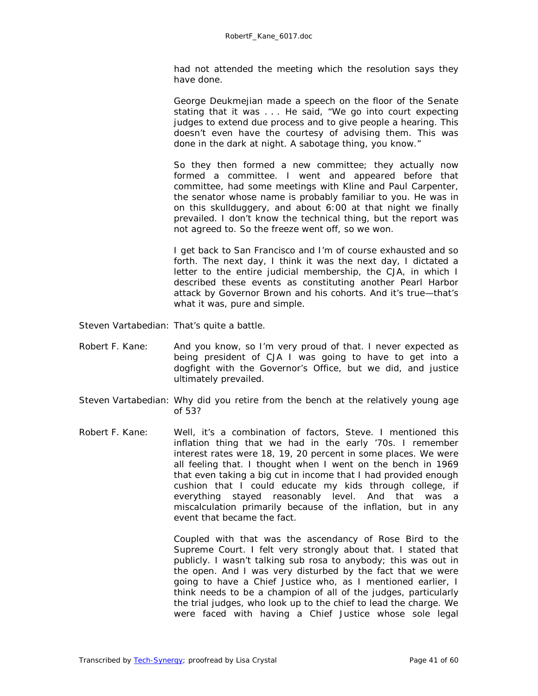had not attended the meeting which the resolution says they have done.

George Deukmejian made a speech on the floor of the Senate stating that it was . . . He said, "We go into court expecting judges to extend due process and to give people a hearing. This doesn't even have the courtesy of advising them. This was done in the dark at night. A sabotage thing, you know."

So they then formed a new committee; they actually now formed a committee. I went and appeared before that committee, had some meetings with Kline and Paul Carpenter, the senator whose name is probably familiar to you. He was in on this skullduggery, and about 6:00 at that night we finally prevailed. I don't know the technical thing, but the report was not agreed to. So the freeze went off, so we won.

I get back to San Francisco and I'm of course exhausted and so forth. The next day, I think it was the next day, I dictated a letter to the entire judicial membership, the CJA, in which I described these events as constituting another Pearl Harbor attack by Governor Brown and his cohorts. And it's true—that's what it was, pure and simple.

- Steven Vartabedian: That's quite a battle.
- Robert F. Kane: And you know, so I'm very proud of that. I never expected as being president of CJA I was going to have to get into a dogfight with the Governor's Office, but we did, and justice ultimately prevailed.
- Steven Vartabedian: Why did you retire from the bench at the relatively young age of 53?
- Robert F. Kane: Well, it's a combination of factors, Steve. I mentioned this inflation thing that we had in the early '70s. I remember interest rates were 18, 19, 20 percent in some places. We were all feeling that. I thought when I went on the bench in 1969 that even taking a big cut in income that I had provided enough cushion that I could educate my kids through college, if everything stayed reasonably level. And that was a miscalculation primarily because of the inflation, but in any event that became the fact.

Coupled with that was the ascendancy of Rose Bird to the Supreme Court. I felt very strongly about that. I stated that publicly. I wasn't talking sub rosa to anybody; this was out in the open. And I was very disturbed by the fact that we were going to have a Chief Justice who, as I mentioned earlier, I think needs to be a champion of all of the judges, particularly the trial judges, who look up to the chief to lead the charge. We were faced with having a Chief Justice whose sole legal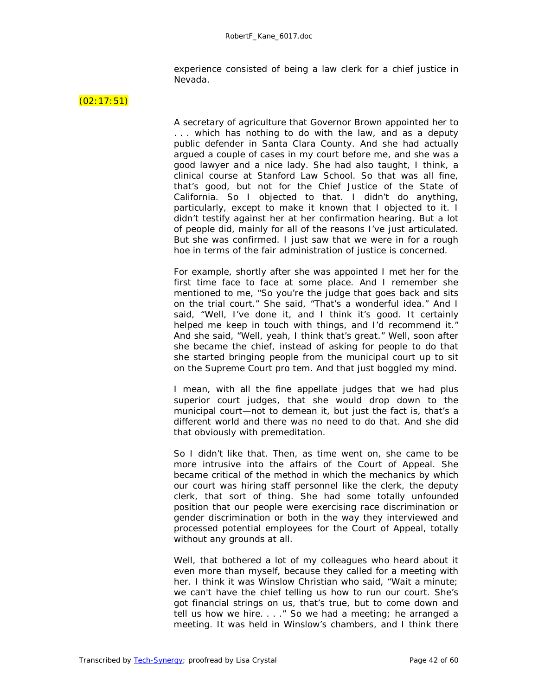experience consisted of being a law clerk for a chief justice in Nevada.

#### $(02:17:51)$

A secretary of agriculture that Governor Brown appointed her to . . . which has nothing to do with the law, and as a deputy public defender in Santa Clara County. And she had actually argued a couple of cases in my court before me, and she was a good lawyer and a nice lady. She had also taught, I think, a clinical course at Stanford Law School. So that was all fine, that's good, but not for the Chief Justice of the State of California. So I objected to that. I didn't do anything, particularly, except to make it known that I objected to it. I didn't testify against her at her confirmation hearing. But a lot of people did, mainly for all of the reasons I've just articulated. But she was confirmed. I just saw that we were in for a rough hoe in terms of the fair administration of justice is concerned.

For example, shortly after she was appointed I met her for the first time face to face at some place. And I remember she mentioned to me, "So you're the judge that goes back and sits on the trial court." She said, "That's a wonderful idea." And I said, "Well, I've done it, and I think it's good. It certainly helped me keep in touch with things, and I'd recommend it." And she said, "Well, yeah, I think that's great." Well, soon after she became the chief, instead of asking for people to do that she started bringing people from the municipal court up to sit on the Supreme Court pro tem. And that just boggled my mind.

I mean, with all the fine appellate judges that we had plus superior court judges, that she would drop down to the municipal court—not to demean it, but just the fact is, that's a different world and there was no need to do that. And she did that obviously with premeditation.

So I didn't like that. Then, as time went on, she came to be more intrusive into the affairs of the Court of Appeal. She became critical of the method in which the mechanics by which our court was hiring staff personnel like the clerk, the deputy clerk, that sort of thing. She had some totally unfounded position that our people were exercising race discrimination or gender discrimination or both in the way they interviewed and processed potential employees for the Court of Appeal, totally without any grounds at all.

Well, that bothered a lot of my colleagues who heard about it even more than myself, because they called for a meeting with her. I think it was Winslow Christian who said, "Wait a minute; we can't have the chief telling us how to run our court. She's got financial strings on us, that's true, but to come down and tell us how we hire. . . ." So we had a meeting; he arranged a meeting. It was held in Winslow's chambers, and I think there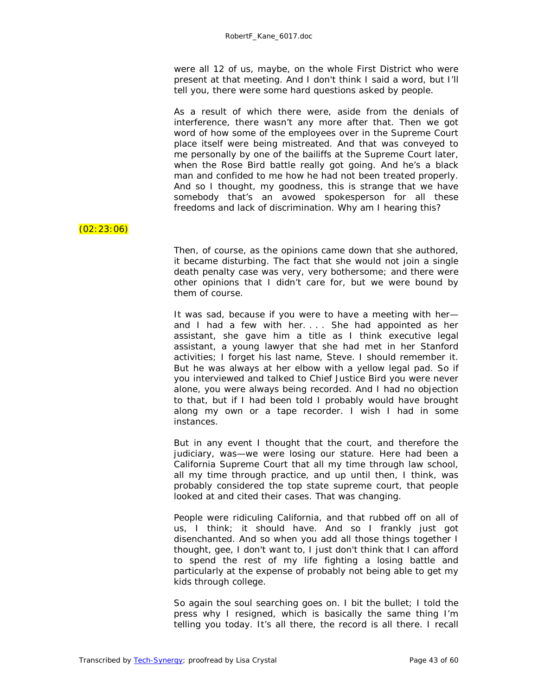were all 12 of us, maybe, on the whole First District who were present at that meeting. And I don't think I said a word, but I'll tell you, there were some hard questions asked by people.

As a result of which there were, aside from the denials of interference, there wasn't any more after that. Then we got word of how some of the employees over in the Supreme Court place itself were being mistreated. And that was conveyed to me personally by one of the bailiffs at the Supreme Court later, when the Rose Bird battle really got going. And he's a black man and confided to me how he had not been treated properly. And so I thought, my goodness, this is strange that we have somebody that's an avowed spokesperson for all these freedoms and lack of discrimination. Why am I hearing this?

# $(02:23:06)$

Then, of course, as the opinions came down that she authored, it became disturbing. The fact that she would not join a single death penalty case was very, very bothersome; and there were other opinions that I didn't care for, but we were bound by them of course.

It was sad, because if you were to have a meeting with her and I had a few with her. . . . She had appointed as her assistant, she gave him a title as I think executive legal assistant, a young lawyer that she had met in her Stanford activities; I forget his last name, Steve. I should remember it. But he was always at her elbow with a yellow legal pad. So if you interviewed and talked to Chief Justice Bird you were never alone, you were always being recorded. And I had no objection to that, but if I had been told I probably would have brought along my own or a tape recorder. I wish I had in some instances.

But in any event I thought that the court, and therefore the judiciary, was—we were losing our stature. Here had been a California Supreme Court that all my time through law school, all my time through practice, and up until then, I think, was probably considered the top state supreme court, that people looked at and cited their cases. That was changing.

People were ridiculing California, and that rubbed off on all of us, I think; it should have. And so I frankly just got disenchanted. And so when you add all those things together I thought, gee, I don't want to, I just don't think that I can afford to spend the rest of my life fighting a losing battle and particularly at the expense of probably not being able to get my kids through college.

So again the soul searching goes on. I bit the bullet; I told the press why I resigned, which is basically the same thing I'm telling you today. It's all there, the record is all there. I recall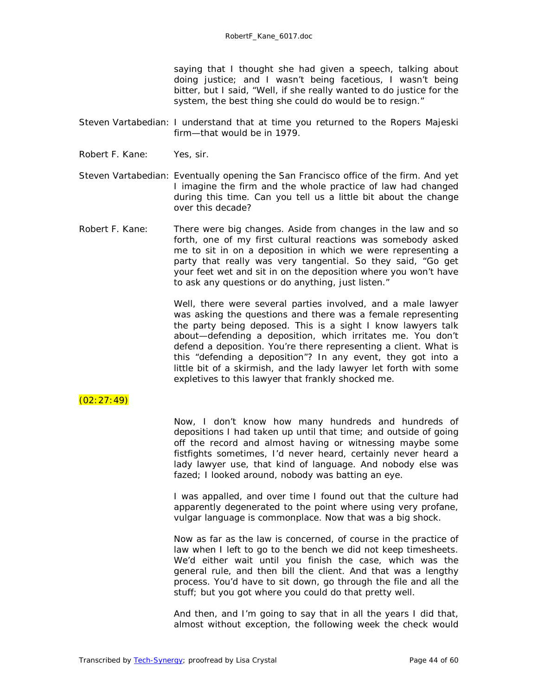saying that I thought she had given a speech, talking about doing justice; and I wasn't being facetious, I wasn't being bitter, but I said, "Well, if she really wanted to do justice for the system, the best thing she could do would be to resign."

- Steven Vartabedian: I understand that at time you returned to the Ropers Majeski firm—that would be in 1979.
- Robert F. Kane: Yes, sir.
- Steven Vartabedian: Eventually opening the San Francisco office of the firm. And yet I imagine the firm and the whole practice of law had changed during this time. Can you tell us a little bit about the change over this decade?
- Robert F. Kane: There were big changes. Aside from changes in the law and so forth, one of my first cultural reactions was somebody asked me to sit in on a deposition in which we were representing a party that really was very tangential. So they said, "Go get your feet wet and sit in on the deposition where you won't have to ask any questions or do anything, just listen."

Well, there were several parties involved, and a male lawyer was asking the questions and there was a female representing the party being deposed. This is a sight I know lawyers talk about—defending a deposition, which irritates me. You don't defend a deposition. You're there representing a client. What is this "defending a deposition"? In any event, they got into a little bit of a skirmish, and the lady lawyer let forth with some expletives to this lawyer that frankly shocked me.

#### $(02:27:49)$

Now, I don't know how many hundreds and hundreds of depositions I had taken up until that time; and outside of going off the record and almost having or witnessing maybe some fistfights sometimes, I'd never heard, certainly never heard a lady lawyer use, that kind of language. And nobody else was fazed; I looked around, nobody was batting an eye.

I was appalled, and over time I found out that the culture had apparently degenerated to the point where using very profane, vulgar language is commonplace. Now that was a big shock.

Now as far as the law is concerned, of course in the practice of law when I left to go to the bench we did not keep timesheets. We'd either wait until you finish the case, which was the general rule, and then bill the client. And that was a lengthy process. You'd have to sit down, go through the file and all the stuff; but you got where you could do that pretty well.

And then, and I'm going to say that in all the years I did that, almost without exception, the following week the check would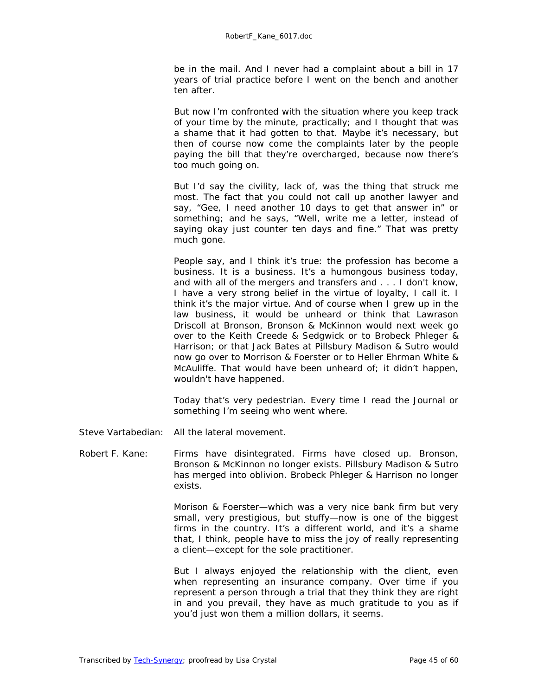be in the mail. And I never had a complaint about a bill in 17 years of trial practice before I went on the bench and another ten after.

But now I'm confronted with the situation where you keep track of your time by the minute, practically; and I thought that was a shame that it had gotten to that. Maybe it's necessary, but then of course now come the complaints later by the people paying the bill that they're overcharged, because now there's too much going on.

But I'd say the civility, lack of, was the thing that struck me most. The fact that you could not call up another lawyer and say, "Gee, I need another 10 days to get that answer in" or something; and he says, "Well, write me a letter, instead of saying okay just counter ten days and fine." That was pretty much gone.

People say, and I think it's true: the profession has become a business. It is a business. It's a humongous business today, and with all of the mergers and transfers and . . . I don't know, I have a very strong belief in the virtue of loyalty, I call it. I think it's the major virtue. And of course when I grew up in the law business, it would be unheard or think that Lawrason Driscoll at Bronson, Bronson & McKinnon would next week go over to the Keith Creede & Sedgwick or to Brobeck Phleger & Harrison; or that Jack Bates at Pillsbury Madison & Sutro would now go over to Morrison & Foerster or to Heller Ehrman White & McAuliffe. That would have been unheard of; it didn't happen, wouldn't have happened.

Today that's very pedestrian. Every time I read the *Journal* or something I'm seeing who went where.

Steve Vartabedian: All the lateral movement.

Robert F. Kane: Firms have disintegrated. Firms have closed up. Bronson, Bronson & McKinnon no longer exists. Pillsbury Madison & Sutro has merged into oblivion. Brobeck Phleger & Harrison no longer exists.

> Morison & Foerster—which was a very nice bank firm but very small, very prestigious, but stuffy—now is one of the biggest firms in the country. It's a different world, and it's a shame that, I think, people have to miss the joy of really representing a client—except for the sole practitioner.

> But I always enjoyed the relationship with the client, even when representing an insurance company. Over time if you represent a person through a trial that they think they are right in and you prevail, they have as much gratitude to you as if you'd just won them a million dollars, it seems.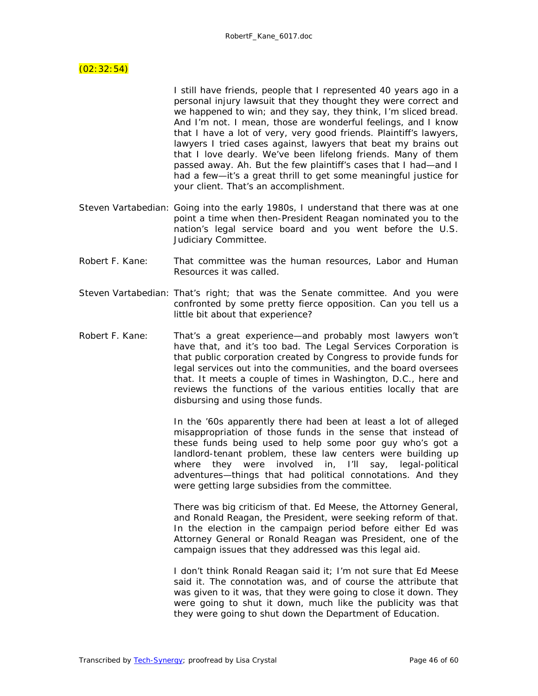#### $(02:32:54)$

I still have friends, people that I represented 40 years ago in a personal injury lawsuit that they thought they were correct and we happened to win; and they say, they think, I'm sliced bread. And I'm not. I mean, those are wonderful feelings, and I know that I have a lot of very, very good friends. Plaintiff's lawyers, lawyers I tried cases against, lawyers that beat my brains out that I love dearly. We've been lifelong friends. Many of them passed away. Ah. But the few plaintiff's cases that I had—and I had a few—it's a great thrill to get some meaningful justice for your client. That's an accomplishment.

- Steven Vartabedian: Going into the early 1980s, I understand that there was at one point a time when then-President Reagan nominated you to the nation's legal service board and you went before the U.S. Judiciary Committee.
- Robert F. Kane: That committee was the human resources, Labor and Human Resources it was called.
- Steven Vartabedian: That's right; that was the Senate committee. And you were confronted by some pretty fierce opposition. Can you tell us a little bit about that experience?
- Robert F. Kane: That's a great experience—and probably most lawyers won't have that, and it's too bad. The Legal Services Corporation is that public corporation created by Congress to provide funds for legal services out into the communities, and the board oversees that. It meets a couple of times in Washington, D.C., here and reviews the functions of the various entities locally that are disbursing and using those funds.

In the '60s apparently there had been at least a lot of alleged misappropriation of those funds in the sense that instead of these funds being used to help some poor guy who's got a landlord-tenant problem, these law centers were building up where they were involved in, I'll say, legal-political adventures—things that had political connotations. And they were getting large subsidies from the committee.

There was big criticism of that. Ed Meese, the Attorney General, and Ronald Reagan, the President, were seeking reform of that. In the election in the campaign period before either Ed was Attorney General or Ronald Reagan was President, one of the campaign issues that they addressed was this legal aid.

I don't think Ronald Reagan said it; I'm not sure that Ed Meese said it. The connotation was, and of course the attribute that was given to it was, that they were going to close it down. They were going to shut it down, much like the publicity was that they were going to shut down the Department of Education.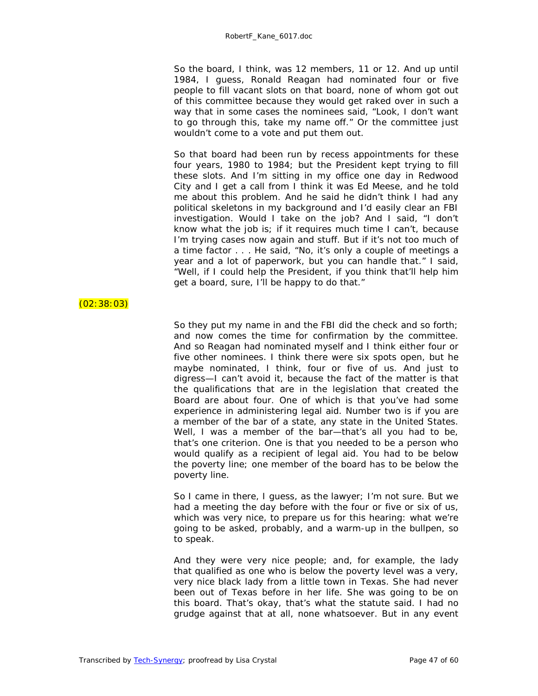So the board, I think, was 12 members, 11 or 12. And up until 1984, I guess, Ronald Reagan had nominated four or five people to fill vacant slots on that board, none of whom got out of this committee because they would get raked over in such a way that in some cases the nominees said, "Look, I don't want to go through this, take my name off." Or the committee just wouldn't come to a vote and put them out.

So that board had been run by recess appointments for these four years, 1980 to 1984; but the President kept trying to fill these slots. And I'm sitting in my office one day in Redwood City and I get a call from I think it was Ed Meese, and he told me about this problem. And he said he didn't think I had any political skeletons in my background and I'd easily clear an FBI investigation. Would I take on the job? And I said, "I don't know what the job is; if it requires much time I can't, because I'm trying cases now again and stuff. But if it's not too much of a time factor . . . He said, "No, it's only a couple of meetings a year and a lot of paperwork, but you can handle that." I said, "Well, if I could help the President, if you think that'll help him get a board, sure, I'll be happy to do that."

#### (02:38:03)

So they put my name in and the FBI did the check and so forth; and now comes the time for confirmation by the committee. And so Reagan had nominated myself and I think either four or five other nominees. I think there were six spots open, but he maybe nominated, I think, four or five of us. And just to digress—I can't avoid it, because the fact of the matter is that the qualifications that are in the legislation that created the Board are about four. One of which is that you've had some experience in administering legal aid. Number two is if you are a member of the bar of a state, any state in the United States. Well, I was a member of the bar-that's all you had to be, that's one criterion. One is that you needed to be a person who would qualify as a recipient of legal aid. You had to be below the poverty line; one member of the board has to be below the poverty line.

So I came in there, I guess, as the lawyer; I'm not sure. But we had a meeting the day before with the four or five or six of us, which was very nice, to prepare us for this hearing: what we're going to be asked, probably, and a warm-up in the bullpen, so to speak.

And they were very nice people; and, for example, the lady that qualified as one who is below the poverty level was a very, very nice black lady from a little town in Texas. She had never been out of Texas before in her life. She was going to be on this board. That's okay, that's what the statute said. I had no grudge against that at all, none whatsoever. But in any event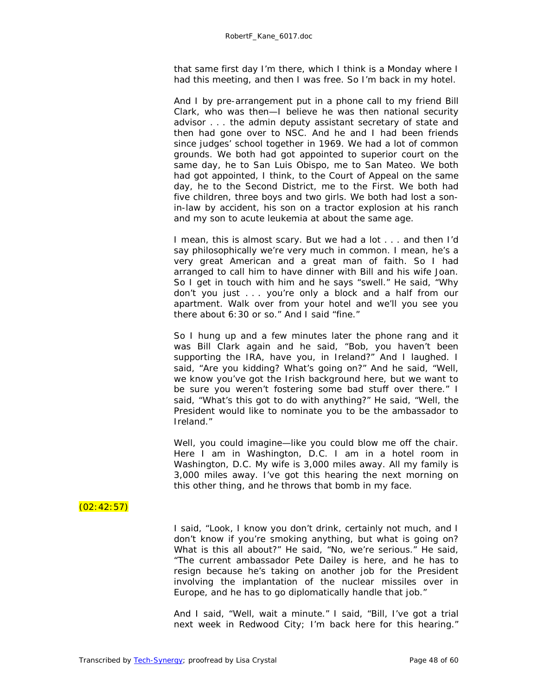that same first day I'm there, which I think is a Monday where I had this meeting, and then I was free. So I'm back in my hotel.

And I by pre-arrangement put in a phone call to my friend Bill Clark, who was then—I believe he was then national security advisor . . . the admin deputy assistant secretary of state and then had gone over to NSC. And he and I had been friends since judges' school together in 1969. We had a lot of common grounds. We both had got appointed to superior court on the same day, he to San Luis Obispo, me to San Mateo. We both had got appointed, I think, to the Court of Appeal on the same day, he to the Second District, me to the First. We both had five children, three boys and two girls. We both had lost a sonin-law by accident, his son on a tractor explosion at his ranch and my son to acute leukemia at about the same age.

I mean, this is almost scary. But we had a lot . . . and then I'd say philosophically we're very much in common. I mean, he's a very great American and a great man of faith. So I had arranged to call him to have dinner with Bill and his wife Joan. So I get in touch with him and he says "swell." He said, "Why don't you just . . . you're only a block and a half from our apartment. Walk over from your hotel and we'll you see you there about 6:30 or so." And I said "fine."

So I hung up and a few minutes later the phone rang and it was Bill Clark again and he said, "Bob, you haven't been supporting the IRA, have you, in Ireland?" And I laughed. I said, "Are you kidding? What's going on?" And he said, "Well, we know you've got the Irish background here, but we want to be sure you weren't fostering some bad stuff over there." I said, "What's this got to do with anything?" He said, "Well, the President would like to nominate you to be the ambassador to Ireland."

Well, you could imagine—like you could blow me off the chair. Here I am in Washington, D.C. I am in a hotel room in Washington, D.C. My wife is 3,000 miles away. All my family is 3,000 miles away. I've got this hearing the next morning on this other thing, and he throws that bomb in my face.

# $(02:42:57)$

I said, "Look, I know you don't drink, certainly not much, and I don't know if you're smoking anything, but what is going on? What is this all about?" He said, "No, we're serious." He said, "The current ambassador Pete Dailey is here, and he has to resign because he's taking on another job for the President involving the implantation of the nuclear missiles over in Europe, and he has to go diplomatically handle that job."

And I said, "Well, wait a minute." I said, "Bill, I've got a trial next week in Redwood City; I'm back here for this hearing."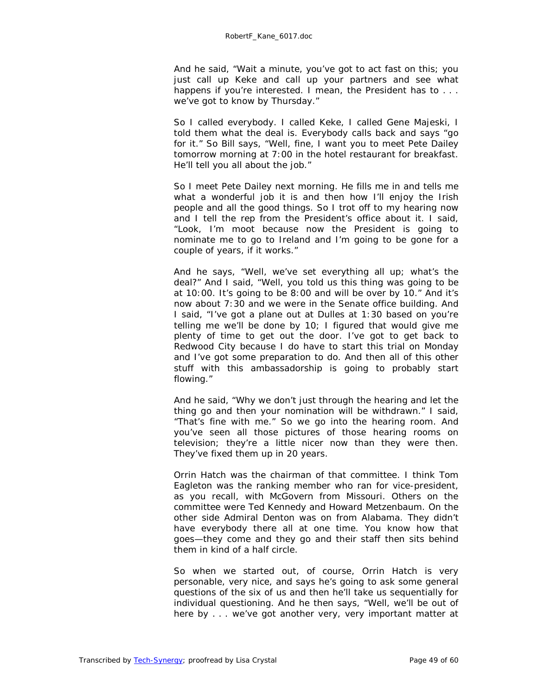And he said, "Wait a minute, you've got to act fast on this; you just call up Keke and call up your partners and see what happens if you're interested. I mean, the President has to ... we've got to know by Thursday."

So I called everybody. I called Keke, I called Gene Majeski, I told them what the deal is. Everybody calls back and says "go for it." So Bill says, "Well, fine, I want you to meet Pete Dailey tomorrow morning at 7:00 in the hotel restaurant for breakfast. He'll tell you all about the job."

So I meet Pete Dailey next morning. He fills me in and tells me what a wonderful job it is and then how I'll enjoy the Irish people and all the good things. So I trot off to my hearing now and I tell the rep from the President's office about it. I said, "Look, I'm moot because now the President is going to nominate me to go to Ireland and I'm going to be gone for a couple of years, if it works."

And he says, "Well, we've set everything all up; what's the deal?" And I said, "Well, you told us this thing was going to be at 10:00. It's going to be 8:00 and will be over by 10." And it's now about 7:30 and we were in the Senate office building. And I said, "I've got a plane out at Dulles at 1:30 based on you're telling me we'll be done by  $10$ ; I figured that would give me plenty of time to get out the door. I've got to get back to Redwood City because I do have to start this trial on Monday and I've got some preparation to do. And then all of this other stuff with this ambassadorship is going to probably start flowing."

And he said, "Why we don't just through the hearing and let the thing go and then your nomination will be withdrawn." I said, "That's fine with me." So we go into the hearing room. And you've seen all those pictures of those hearing rooms on television; they're a little nicer now than they were then. They've fixed them up in 20 years.

Orrin Hatch was the chairman of that committee. I think Tom Eagleton was the ranking member who ran for vice-president, as you recall, with McGovern from Missouri. Others on the committee were Ted Kennedy and Howard Metzenbaum. On the other side Admiral Denton was on from Alabama. They didn't have everybody there all at one time. You know how that goes—they come and they go and their staff then sits behind them in kind of a half circle.

So when we started out, of course, Orrin Hatch is very personable, very nice, and says he's going to ask some general questions of the six of us and then he'll take us sequentially for individual questioning. And he then says, "Well, we'll be out of here by . . . we've got another very, very important matter at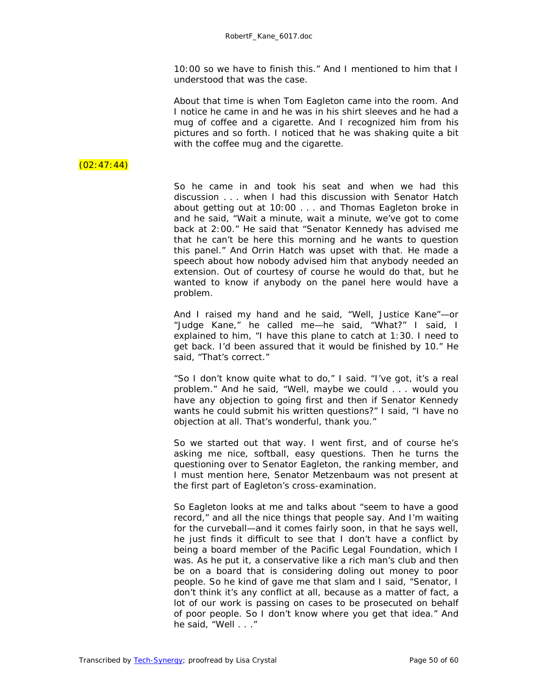10:00 so we have to finish this." And I mentioned to him that I understood that was the case.

About that time is when Tom Eagleton came into the room. And I notice he came in and he was in his shirt sleeves and he had a mug of coffee and a cigarette. And I recognized him from his pictures and so forth. I noticed that he was shaking quite a bit with the coffee mug and the cigarette.

# $(02:47:44)$

So he came in and took his seat and when we had this discussion . . . when I had this discussion with Senator Hatch about getting out at 10:00 . . . and Thomas Eagleton broke in and he said, "Wait a minute, wait a minute, we've got to come back at 2:00." He said that "Senator Kennedy has advised me that he can't be here this morning and he wants to question this panel." And Orrin Hatch was upset with that. He made a speech about how nobody advised him that anybody needed an extension. Out of courtesy of course he would do that, but he wanted to know if anybody on the panel here would have a problem.

And I raised my hand and he said, "Well, Justice Kane"—or "Judge Kane," he called me—he said, "What?" I said, I explained to him, "I have this plane to catch at 1:30. I need to get back. I'd been assured that it would be finished by 10." He said, "That's correct."

"So I don't know quite what to do," I said. "I've got, it's a real problem." And he said, "Well, maybe we could . . . would you have any objection to going first and then if Senator Kennedy wants he could submit his written questions?" I said, "I have no objection at all. That's wonderful, thank you."

So we started out that way. I went first, and of course he's asking me nice, softball, easy questions. Then he turns the questioning over to Senator Eagleton, the ranking member, and I must mention here, Senator Metzenbaum was not present at the first part of Eagleton's cross-examination.

So Eagleton looks at me and talks about "seem to have a good record," and all the nice things that people say. And I'm waiting for the curveball—and it comes fairly soon, in that he says well, he just finds it difficult to see that I don't have a conflict by being a board member of the Pacific Legal Foundation, which I was. As he put it, a conservative like a rich man's club and then be on a board that is considering doling out money to poor people. So he kind of gave me that slam and I said, "Senator, I don't think it's any conflict at all, because as a matter of fact, a lot of our work is passing on cases to be prosecuted on behalf of poor people. So I don't know where you get that idea." And he said, "Well . . ."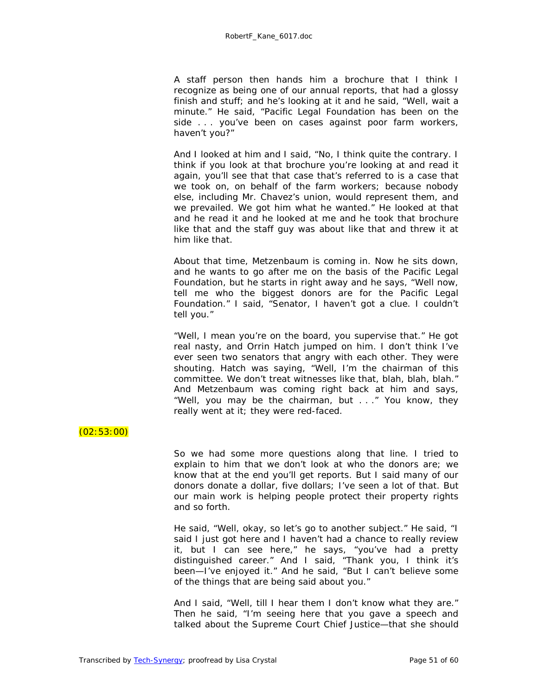A staff person then hands him a brochure that I think I recognize as being one of our annual reports, that had a glossy finish and stuff; and he's looking at it and he said, "Well, wait a minute." He said, "Pacific Legal Foundation has been on the side . . . you've been on cases against poor farm workers, haven't you?"

And I looked at him and I said, "No, I think quite the contrary. I think if you look at that brochure you're looking at and read it again, you'll see that that case that's referred to is a case that we took on, on behalf of the farm workers; because nobody else, including Mr. Chavez's union, would represent them, and we prevailed. We got him what he wanted." He looked at that and he read it and he looked at me and he took that brochure like that and the staff guy was about like that and threw it at him like that.

About that time, Metzenbaum is coming in. Now he sits down, and he wants to go after me on the basis of the Pacific Legal Foundation, but he starts in right away and he says, "Well now, tell me who the biggest donors are for the Pacific Legal Foundation." I said, "Senator, I haven't got a clue. I couldn't tell you."

"Well, I mean you're on the board, you supervise that." He got real nasty, and Orrin Hatch jumped on him. I don't think I've ever seen two senators that angry with each other. They were shouting. Hatch was saying, "Well, I'm the chairman of this committee. We don't treat witnesses like that, blah, blah, blah." And Metzenbaum was coming right back at him and says, "Well, you may be the chairman, but . . ." You know, they really went at it; they were red-faced.

# $(02:53:00)$

So we had some more questions along that line. I tried to explain to him that we don't look at who the donors are; we know that at the end you'll get reports. But I said many of our donors donate a dollar, five dollars; I've seen a lot of that. But our main work is helping people protect their property rights and so forth.

He said, "Well, okay, so let's go to another subject." He said, "I said I just got here and I haven't had a chance to really review it, but I can see here," he says, "you've had a pretty distinguished career." And I said, "Thank you, I think it's been—I've enjoyed it." And he said, "But I can't believe some of the things that are being said about you."

And I said, "Well, till I hear them I don't know what they are." Then he said, "I'm seeing here that you gave a speech and talked about the Supreme Court Chief Justice—that she should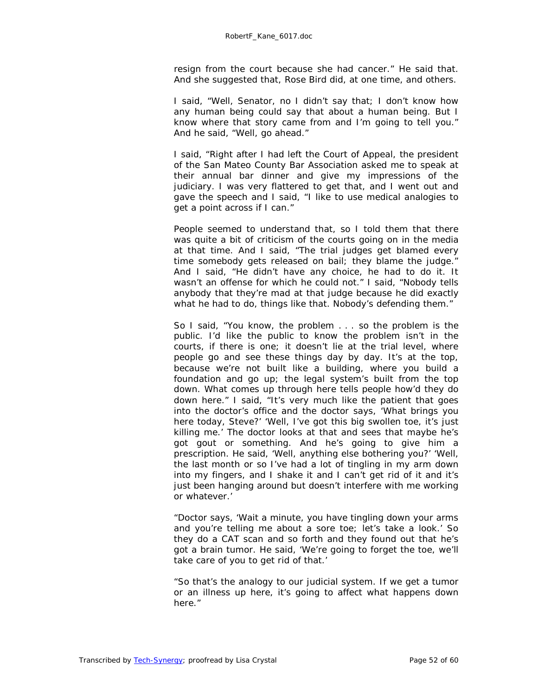resign from the court because she had cancer." He said that. And *she* suggested that, Rose Bird did, at one time, and others.

I said, "Well, Senator, no I didn't say that; I don't know how any human being could say that about a human being. But I know where that story came from and I'm going to tell you." And he said, "Well, go ahead."

I said, "Right after I had left the Court of Appeal, the president of the San Mateo County Bar Association asked me to speak at their annual bar dinner and give my impressions of the judiciary. I was very flattered to get that, and I went out and gave the speech and I said, "I like to use medical analogies to get a point across if I can."

People seemed to understand that, so I told them that there was quite a bit of criticism of the courts going on in the media at that time. And I said, "The trial judges get blamed every time somebody gets released on bail; they blame the judge." And I said, "He didn't have any choice, he had to do it. It wasn't an offense for which he could not." I said, "Nobody tells anybody that they're mad at that judge because he did exactly what he had to do, things like that. Nobody's defending them."

So I said, "You know, the problem . . . so the problem is the public. I'd like the public to know the problem isn't in the courts, if there is one; it doesn't lie at the trial level, where people go and see these things day by day. It's at the top, because we're not built like a building, where you build a foundation and go up; the legal system's built from the top down. What comes up through here tells people how'd they do down here." I said, "It's very much like the patient that goes into the doctor's office and the doctor says, 'What brings you here today, Steve?' 'Well, I've got this big swollen toe, it's just killing me.' The doctor looks at that and sees that maybe he's got gout or something. And he's going to give him a prescription. He said, 'Well, anything else bothering you?' 'Well, the last month or so I've had a lot of tingling in my arm down into my fingers, and I shake it and I can't get rid of it and it's just been hanging around but doesn't interfere with me working or whatever.'

"Doctor says, 'Wait a minute, you have tingling down your arms and you're telling me about a sore toe; let's take a look.' So they do a CAT scan and so forth and they found out that he's got a brain tumor. He said, 'We're going to forget the toe, we'll take care of you to get rid of that.'

"So that's the analogy to our judicial system. If we get a tumor or an illness up here, it's going to affect what happens down here."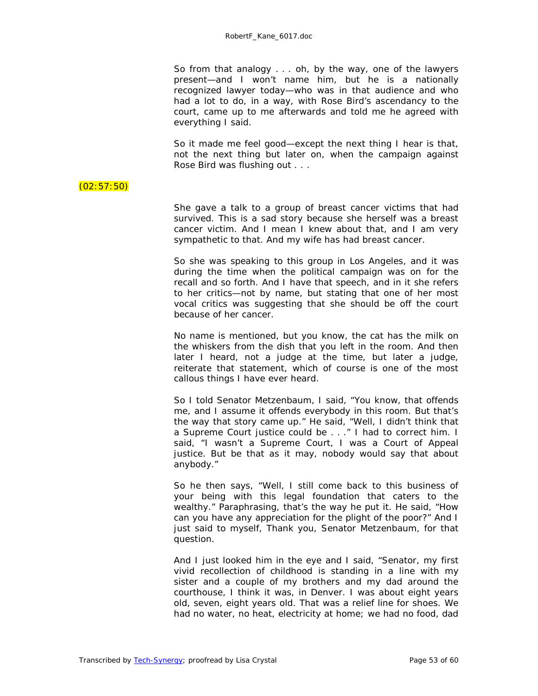So from that analogy . . . oh, by the way, one of the lawyers present—and I won't name him, but he is a nationally recognized lawyer today—who was in that audience and who had a lot to do, in a way, with Rose Bird's ascendancy to the court, came up to me afterwards and told me he agreed with everything I said.

So it made me feel good—except the next thing I hear is that, not the next thing but later on, when the campaign against Rose Bird was flushing out . . .

#### $(02:57:50)$

She gave a talk to a group of breast cancer victims that had survived. This is a sad story because she herself was a breast cancer victim. And I mean I knew about that, and I am very sympathetic to that. And my wife has had breast cancer.

So she was speaking to this group in Los Angeles, and it was during the time when the political campaign was on for the recall and so forth. And I have that speech, and in it she refers to her critics—not by name, but stating that one of her most vocal critics was suggesting that she should be off the court because of her cancer.

No name is mentioned, but you know, the cat has the milk on the whiskers from the dish that you left in the room. And then later I heard, not a judge at the time, but later a judge, reiterate that statement, which of course is one of the most callous things I have ever heard.

So I told Senator Metzenbaum, I said, "You know, that offends me, and I assume it offends everybody in this room. But that's the way that story came up." He said, "Well, I didn't think that a Supreme Court justice could be . . ." I had to correct him. I said, "I wasn't a Supreme Court, I was a Court of Appeal justice. But be that as it may, nobody would say that about anybody."

So he then says, "Well, I still come back to this business of your being with this legal foundation that caters to the wealthy." Paraphrasing, that's the way he put it. He said, "How can you have any appreciation for the plight of the poor?" And I just said to myself, Thank you, Senator Metzenbaum, for that question.

And I just looked him in the eye and I said, "Senator, my first vivid recollection of childhood is standing in a line with my sister and a couple of my brothers and my dad around the courthouse, I think it was, in Denver. I was about eight years old, seven, eight years old. That was a relief line for shoes. We had no water, no heat, electricity at home; we had no food, dad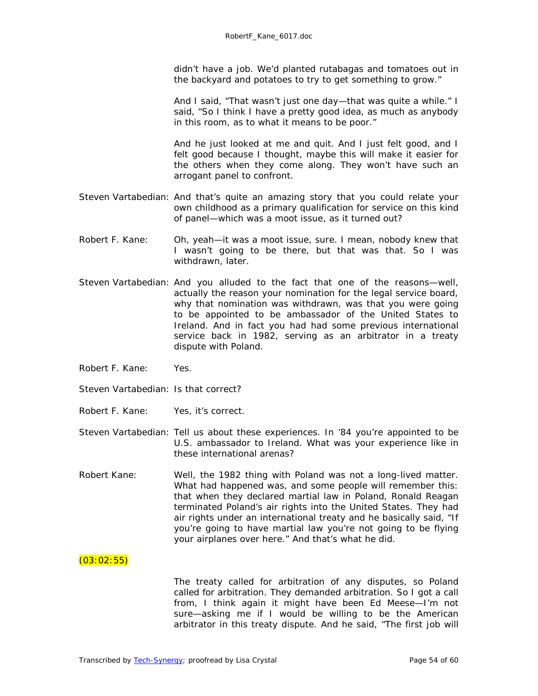didn't have a job. We'd planted rutabagas and tomatoes out in the backyard and potatoes to try to get something to grow."

And I said, "That wasn't just one day—that was quite a while." I said, "So I think I have a pretty good idea, as much as anybody in this room, as to what it means to be poor."

And he just looked at me and quit. And I just felt good, and I felt good because I thought, maybe this will make it easier for the others when they come along. They won't have such an arrogant panel to confront.

- Steven Vartabedian: And that's quite an amazing story that you could relate your own childhood as a primary qualification for service on this kind of panel—which was a moot issue, as it turned out?
- Robert F. Kane: Oh, yeah—it was a moot issue, sure. I mean, nobody knew that I wasn't going to be there, but that was that. So I was withdrawn, later.
- Steven Vartabedian: And you alluded to the fact that one of the reasons—well, actually the reason your nomination for the legal service board, why that nomination was withdrawn, was that you were going to be appointed to be ambassador of the United States to Ireland. And in fact you had had some previous international service back in 1982, serving as an arbitrator in a treaty dispute with Poland.
- Robert F. Kane: Yes.
- Steven Vartabedian: Is that correct?
- Robert F. Kane: Yes, it's correct.
- Steven Vartabedian: Tell us about these experiences. In '84 you're appointed to be U.S. ambassador to Ireland. What was your experience like in these international arenas?
- Robert Kane: Well, the 1982 thing with Poland was not a long-lived matter. What had happened was, and some people will remember this: that when they declared martial law in Poland, Ronald Reagan terminated Poland's air rights into the United States. They had air rights under an international treaty and he basically said, "If you're going to have martial law you're not going to be flying your airplanes over here." And that's what he did.

#### $(03:02:55)$

The treaty called for arbitration of any disputes, so Poland called for arbitration. They demanded arbitration. So I got a call from, I think again it might have been Ed Meese—I'm not sure—asking me if I would be willing to be the American arbitrator in this treaty dispute. And he said, "The first job will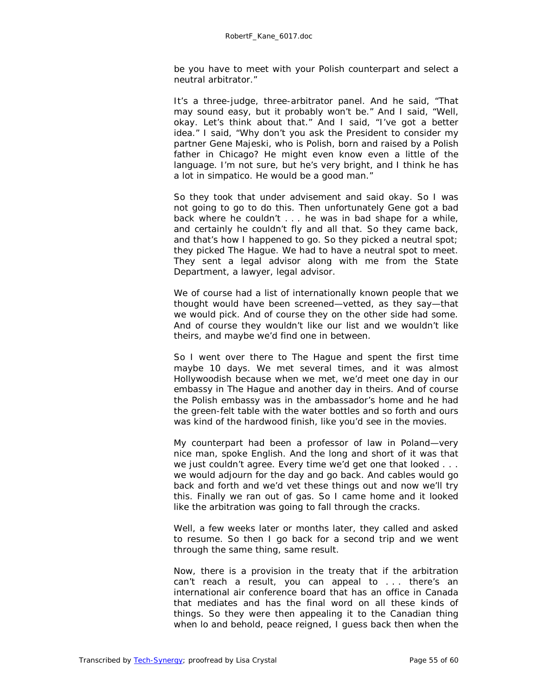be you have to meet with your Polish counterpart and select a neutral arbitrator."

It's a three-judge, three-arbitrator panel. And he said, "That may sound easy, but it probably won't be." And I said, "Well, okay. Let's think about that." And I said, "I've got a better idea." I said, "Why don't you ask the President to consider my partner Gene Majeski, who is Polish, born and raised by a Polish father in Chicago? He might even know even a little of the language. I'm not sure, but he's very bright, and I think he has a lot in simpatico. He would be a good man."

So they took that under advisement and said okay. So I was not going to go to do this. Then unfortunately Gene got a bad back where he couldn't . . . he was in bad shape for a while, and certainly he couldn't fly and all that. So they came back, and that's how I happened to go. So they picked a neutral spot; they picked The Hague. We had to have a neutral spot to meet. They sent a legal advisor along with me from the State Department, a lawyer, legal advisor.

We of course had a list of internationally known people that we thought would have been screened—vetted, as they say—that we would pick. And of course they on the other side had some. And of course they wouldn't like our list and we wouldn't like theirs, and maybe we'd find one in between.

So I went over there to The Hague and spent the first time maybe 10 days. We met several times, and it was almost Hollywoodish because when we met, we'd meet one day in our embassy in The Hague and another day in theirs. And of course the Polish embassy was in the ambassador's home and he had the green-felt table with the water bottles and so forth and ours was kind of the hardwood finish, like you'd see in the movies.

My counterpart had been a professor of law in Poland—very nice man, spoke English. And the long and short of it was that we just couldn't agree. Every time we'd get one that looked . . . we would adjourn for the day and go back. And cables would go back and forth and we'd vet these things out and now we'll try this. Finally we ran out of gas. So I came home and it looked like the arbitration was going to fall through the cracks.

Well, a few weeks later or months later, they called and asked to resume. So then I go back for a second trip and we went through the same thing, same result.

Now, there is a provision in the treaty that if the arbitration can't reach a result, you can appeal to . . . there's an international air conference board that has an office in Canada that mediates and has the final word on all these kinds of things. So they were then appealing it to the Canadian thing when lo and behold, peace reigned, I guess back then when the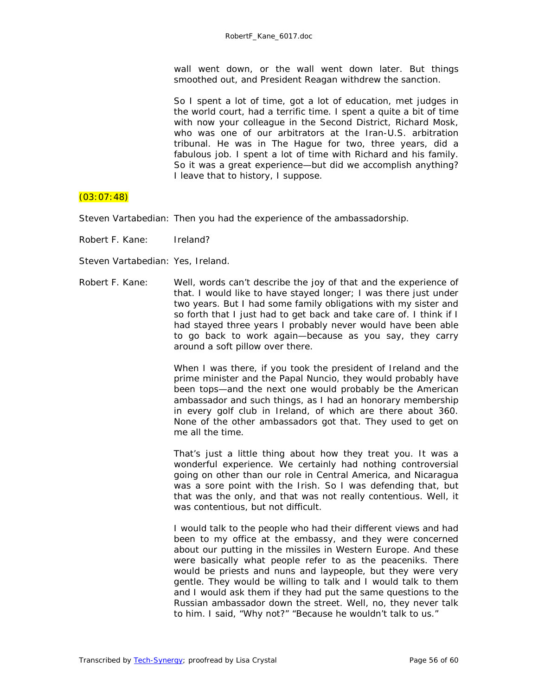wall went down, or the wall went down later. But things smoothed out, and President Reagan withdrew the sanction.

So I spent a lot of time, got a lot of education, met judges in the world court, had a terrific time. I spent a quite a bit of time with now your colleague in the Second District, Richard Mosk, who was one of our arbitrators at the Iran-U.S. arbitration tribunal. He was in The Hague for two, three years, did a fabulous job. I spent a lot of time with Richard and his family. So it was a great experience—but did we accomplish anything? I leave that to history, I suppose.

#### $(03:07:48)$

Steven Vartabedian: Then you had the experience of the ambassadorship.

Robert F. Kane: Ireland?

Steven Vartabedian: Yes, Ireland.

Robert F. Kane: Well, words can't describe the joy of that and the experience of that. I would like to have stayed longer; I was there just under two years. But I had some family obligations with my sister and so forth that I just had to get back and take care of. I think if I had stayed three years I probably never would have been able to go back to work again—because as you say, they carry around a soft pillow over there.

> When I was there, if you took the president of Ireland and the prime minister and the Papal Nuncio, they would probably have been tops—and the next one would probably be the American ambassador and such things, as I had an honorary membership in every golf club in Ireland, of which are there about 360. None of the other ambassadors got that. They used to get on me all the time.

> That's just a little thing about how they treat you. It was a wonderful experience. We certainly had nothing controversial going on other than our role in Central America, and Nicaragua was a sore point with the Irish. So I was defending that, but that was the only, and that was not really contentious. Well, it was contentious, but not difficult.

> I would talk to the people who had their different views and had been to my office at the embassy, and they were concerned about our putting in the missiles in Western Europe. And these were basically what people refer to as the peaceniks. There would be priests and nuns and laypeople, but they were very gentle. They would be willing to talk and I would talk to them and I would ask them if they had put the same questions to the Russian ambassador down the street. Well, no, they never talk to him. I said, "Why not?" "Because he wouldn't talk to us."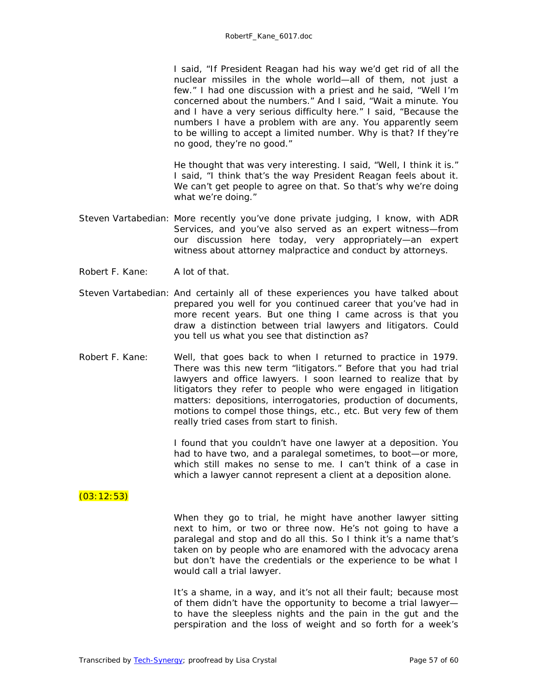I said, "If President Reagan had his way we'd get rid of all the nuclear missiles in the whole world—all of them, not just a few." I had one discussion with a priest and he said, "Well I'm concerned about the numbers." And I said, "Wait a minute. You and I have a very serious difficulty here." I said, "Because the numbers I have a problem with are any. You apparently seem to be willing to accept a limited number. Why is that? If they're no good, they're no good."

He thought that was very interesting. I said, "Well, I think it is." I said, "I think that's the way President Reagan feels about it. We can't get people to agree on that. So that's why we're doing what we're doing."

- Steven Vartabedian: More recently you've done private judging, I know, with ADR Services, and you've also served as an expert witness—from our discussion here today, very appropriately—an expert witness about attorney malpractice and conduct by attorneys.
- Robert F. Kane: A lot of that.
- Steven Vartabedian: And certainly all of these experiences you have talked about prepared you well for you continued career that you've had in more recent years. But one thing I came across is that you draw a distinction between trial lawyers and litigators. Could you tell us what you see that distinction as?
- Robert F. Kane: Well, that goes back to when I returned to practice in 1979. There was this new term "litigators." Before that you had trial lawyers and office lawyers. I soon learned to realize that by litigators they refer to people who were engaged in litigation matters: depositions, interrogatories, production of documents, motions to compel those things, etc., etc. But very few of them really tried cases from start to finish.

I found that you couldn't have one lawyer at a deposition. You had to have two, and a paralegal sometimes, to boot—or more, which still makes no sense to me. I can't think of a case in which a lawyer cannot represent a client at a deposition alone.

#### $(03:12:53)$

When they go to trial, he might have another lawyer sitting next to him, or two or three now. He's not going to have a paralegal and stop and do all this. So I think it's a name that's taken on by people who are enamored with the advocacy arena but don't have the credentials or the experience to be what I would call a trial lawyer.

It's a shame, in a way, and it's not all their fault; because most of them didn't have the opportunity to become a trial lawyer to have the sleepless nights and the pain in the gut and the perspiration and the loss of weight and so forth for a week's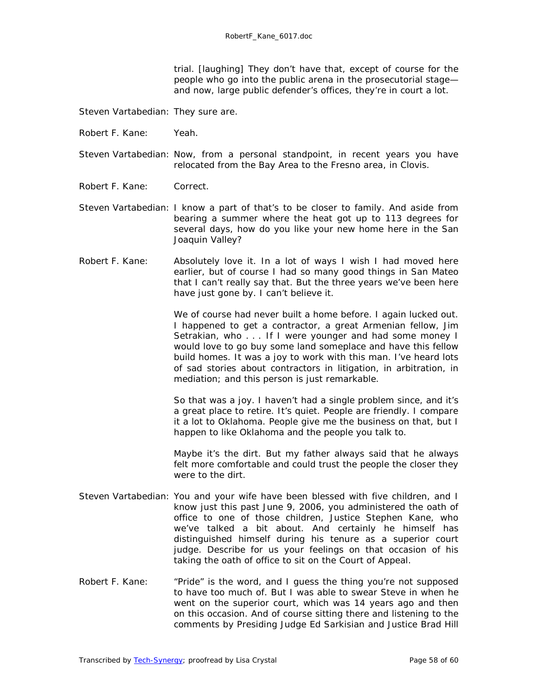trial. *[laughing]* They don't have that, except of course for the people who go into the public arena in the prosecutorial stage and now, large public defender's offices, they're in court a lot.

Steven Vartabedian: They sure are.

- Robert F. Kane: Yeah.
- Steven Vartabedian: Now, from a personal standpoint, in recent years you have relocated from the Bay Area to the Fresno area, in Clovis.
- Robert F. Kane: Correct.
- Steven Vartabedian: I know a part of that's to be closer to family. And aside from bearing a summer where the heat got up to 113 degrees for several days, how do you like your new home here in the San Joaquin Valley?
- Robert F. Kane: Absolutely love it. In a lot of ways I wish I had moved here earlier, but of course I had so many good things in San Mateo that I can't really say that. But the three years we've been here have just gone by. I can't believe it.

We of course had never built a home before. I again lucked out. I happened to get a contractor, a great Armenian fellow, Jim Setrakian, who . . . If I were younger and had some money I would love to go buy some land someplace and have this fellow build homes. It was a joy to work with this man. I've heard lots of sad stories about contractors in litigation, in arbitration, in mediation; and this person is just remarkable.

So that was a joy. I haven't had a single problem since, and it's a great place to retire. It's quiet. People are friendly. I compare it a lot to Oklahoma. People give me the business on that, but I happen to like Oklahoma and the people you talk to.

Maybe it's the dirt. But my father always said that he always felt more comfortable and could trust the people the closer they were to the dirt.

- Steven Vartabedian: You and your wife have been blessed with five children, and I know just this past June 9, 2006, you administered the oath of office to one of those children, Justice Stephen Kane, who we've talked a bit about. And certainly he himself has distinguished himself during his tenure as a superior court judge. Describe for us your feelings on that occasion of his taking the oath of office to sit on the Court of Appeal.
- Robert F. Kane: "Pride" is the word, and I guess the thing you're not supposed to have too much of. But I was able to swear Steve in when he went on the superior court, which was 14 years ago and then on this occasion. And of course sitting there and listening to the comments by Presiding Judge Ed Sarkisian and Justice Brad Hill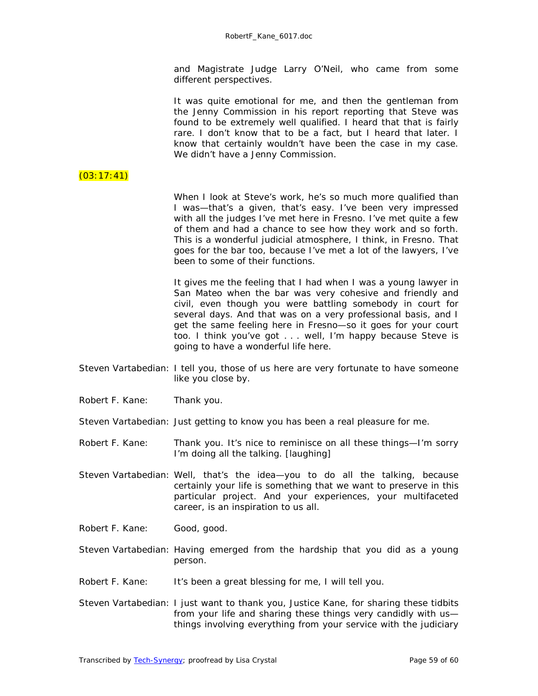and Magistrate Judge Larry O'Neil, who came from some different perspectives.

| It was quite emotional for me, and then the gentleman from<br>the Jenny Commission in his report reporting that Steve was<br>found to be extremely well qualified. I heard that that is fairly<br>rare. I don't know that to be a fact, but I heard that later. I<br>know that certainly wouldn't have been the case in my case. |
|----------------------------------------------------------------------------------------------------------------------------------------------------------------------------------------------------------------------------------------------------------------------------------------------------------------------------------|
| We didn't have a Jenny Commission.                                                                                                                                                                                                                                                                                               |
| When I look at Steve's work, he's so much more qualified than<br>I was—that's a given, that's easy. I've been very impressed<br>with all the judges I've met here in Fresno. I've met quite a few                                                                                                                                |

of them and had a chance to see how they work and so forth. This is a wonderful judicial atmosphere, I think, in Fresno. That goes for the bar too, because I've met a lot of the lawyers, I've been to some of their functions.

It gives me the feeling that I had when I was a young lawyer in San Mateo when the bar was very cohesive and friendly and civil, even though you were battling somebody in court for several days. And that was on a very professional basis, and I get the same feeling here in Fresno—so it goes for your court too. I think you've got . . . well, I'm happy because Steve is going to have a wonderful life here.

- Steven Vartabedian: I tell you, those of us here are very fortunate to have someone like you close by.
- Robert F. Kane: Thank you.

 $(03:17:41)$ 

- Steven Vartabedian: Just getting to know you has been a real pleasure for me.
- Robert F. Kane: Thank you. It's nice to reminisce on all these things—I'm sorry I'm doing all the talking. *[laughing]*
- Steven Vartabedian: Well, that's the idea—you to do all the talking, because certainly your life is something that we want to preserve in this particular project. And your experiences, your multifaceted career, is an inspiration to us all.

Robert F. Kane: Good, good.

- Steven Vartabedian: Having emerged from the hardship that you did as a young person.
- Robert F. Kane: It's been a great blessing for me, I will tell you.
- Steven Vartabedian: I just want to thank you, Justice Kane, for sharing these tidbits from your life and sharing these things very candidly with us things involving everything from your service with the judiciary